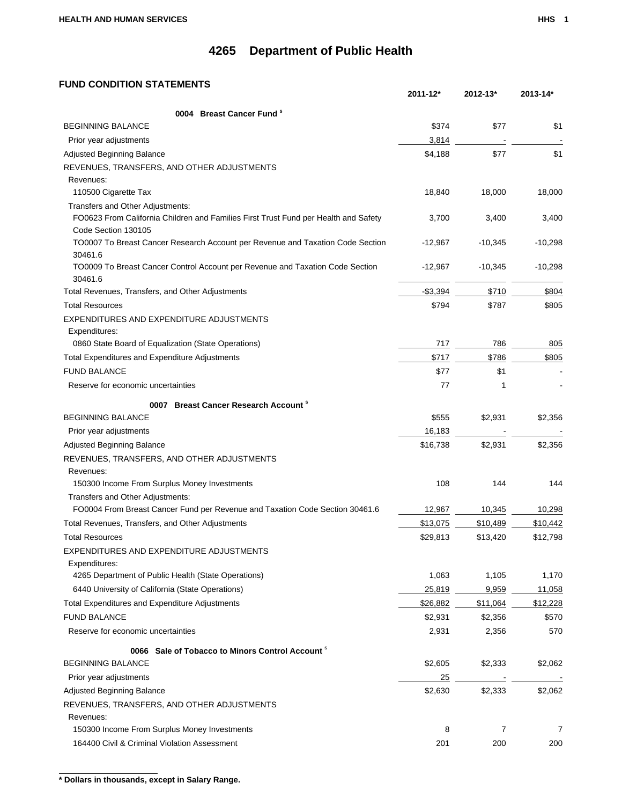### **FUND CONDITION STATEMENTS**

|                                                                                                            | 2011-12*  | 2012-13*  | 2013-14*  |
|------------------------------------------------------------------------------------------------------------|-----------|-----------|-----------|
| 0004 Breast Cancer Fund <sup>s</sup>                                                                       |           |           |           |
| <b>BEGINNING BALANCE</b>                                                                                   | \$374     | \$77      | \$1       |
| Prior year adjustments                                                                                     | 3,814     |           |           |
| <b>Adjusted Beginning Balance</b>                                                                          | \$4,188   | \$77      | \$1       |
| REVENUES, TRANSFERS, AND OTHER ADJUSTMENTS                                                                 |           |           |           |
| Revenues:                                                                                                  |           |           |           |
| 110500 Cigarette Tax                                                                                       | 18,840    | 18,000    | 18,000    |
| Transfers and Other Adjustments:                                                                           |           |           |           |
| FO0623 From California Children and Families First Trust Fund per Health and Safety<br>Code Section 130105 | 3,700     | 3,400     | 3,400     |
| TO0007 To Breast Cancer Research Account per Revenue and Taxation Code Section<br>30461.6                  | $-12,967$ | $-10,345$ | $-10,298$ |
| TO0009 To Breast Cancer Control Account per Revenue and Taxation Code Section<br>30461.6                   | $-12,967$ | $-10,345$ | $-10,298$ |
| Total Revenues, Transfers, and Other Adjustments                                                           | $-$3,394$ | \$710     | \$804     |
| <b>Total Resources</b>                                                                                     | \$794     | \$787     | \$805     |
| EXPENDITURES AND EXPENDITURE ADJUSTMENTS                                                                   |           |           |           |
| Expenditures:                                                                                              |           |           |           |
| 0860 State Board of Equalization (State Operations)                                                        | 717       | 786       | 805       |
| Total Expenditures and Expenditure Adjustments                                                             | \$717     | \$786     | \$805     |
| <b>FUND BALANCE</b>                                                                                        | \$77      | \$1       |           |
| Reserve for economic uncertainties                                                                         | 77        | 1         |           |
| 0007 Breast Cancer Research Account <sup>s</sup>                                                           |           |           |           |
| <b>BEGINNING BALANCE</b>                                                                                   | \$555     | \$2,931   | \$2,356   |
| Prior year adjustments                                                                                     | 16,183    |           |           |
| Adjusted Beginning Balance                                                                                 | \$16,738  | \$2,931   | \$2,356   |
| REVENUES, TRANSFERS, AND OTHER ADJUSTMENTS                                                                 |           |           |           |
| Revenues:                                                                                                  |           |           |           |
| 150300 Income From Surplus Money Investments                                                               | 108       | 144       | 144       |
| Transfers and Other Adjustments:                                                                           |           |           |           |
| FO0004 From Breast Cancer Fund per Revenue and Taxation Code Section 30461.6                               | 12,967    | 10,345    | 10,298    |
| Total Revenues, Transfers, and Other Adjustments                                                           | \$13,075  | \$10,489  | \$10,442  |
| <b>Total Resources</b>                                                                                     | \$29,813  | \$13,420  | \$12,798  |
| EXPENDITURES AND EXPENDITURE ADJUSTMENTS                                                                   |           |           |           |
| Expenditures:                                                                                              |           |           |           |
| 4265 Department of Public Health (State Operations)                                                        | 1,063     | 1,105     | 1,170     |
| 6440 University of California (State Operations)                                                           | 25,819    | 9,959     | 11,058    |
| Total Expenditures and Expenditure Adjustments                                                             | \$26,882  | \$11,064  | \$12,228  |
| <b>FUND BALANCE</b>                                                                                        | \$2,931   | \$2,356   | \$570     |
| Reserve for economic uncertainties                                                                         | 2,931     | 2,356     | 570       |
| 0066 Sale of Tobacco to Minors Control Account <sup>8</sup>                                                |           |           |           |
| <b>BEGINNING BALANCE</b>                                                                                   | \$2,605   | \$2,333   | \$2,062   |
| Prior year adjustments                                                                                     | 25        |           |           |
| Adjusted Beginning Balance                                                                                 | \$2,630   | \$2,333   | \$2,062   |
| REVENUES, TRANSFERS, AND OTHER ADJUSTMENTS                                                                 |           |           |           |
| Revenues:                                                                                                  |           |           |           |
| 150300 Income From Surplus Money Investments                                                               | 8         | 7         | 7         |
| 164400 Civil & Criminal Violation Assessment                                                               | 201       | 200       | 200       |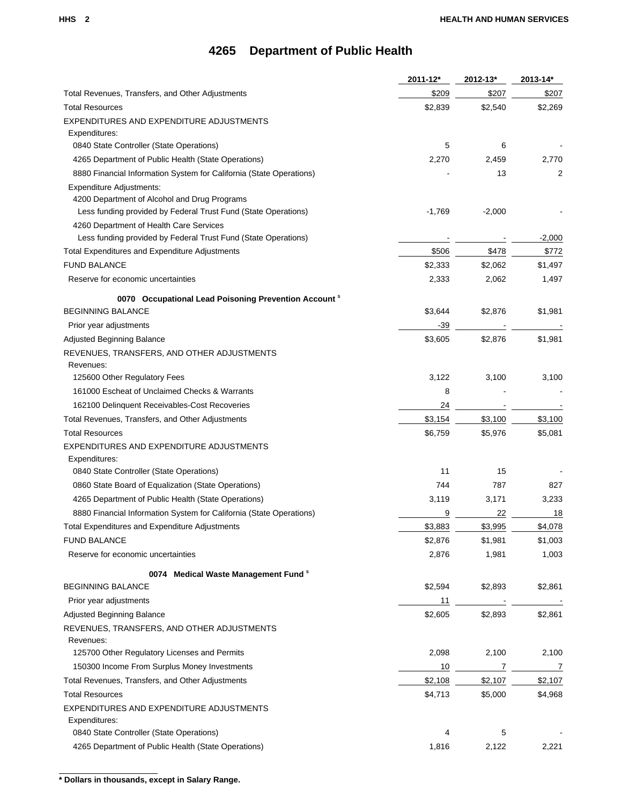|                                                                             | 2011-12* | 2012-13* | 2013-14*       |
|-----------------------------------------------------------------------------|----------|----------|----------------|
| Total Revenues, Transfers, and Other Adjustments                            | \$209    | \$207    | \$207          |
| <b>Total Resources</b>                                                      | \$2,839  | \$2,540  | \$2,269        |
| EXPENDITURES AND EXPENDITURE ADJUSTMENTS                                    |          |          |                |
| Expenditures:                                                               |          |          |                |
| 0840 State Controller (State Operations)                                    | 5        | 6        |                |
| 4265 Department of Public Health (State Operations)                         | 2,270    | 2,459    | 2,770          |
| 8880 Financial Information System for California (State Operations)         |          | 13       | 2              |
| Expenditure Adjustments:                                                    |          |          |                |
| 4200 Department of Alcohol and Drug Programs                                |          |          |                |
| Less funding provided by Federal Trust Fund (State Operations)              | $-1,769$ | $-2,000$ |                |
| 4260 Department of Health Care Services                                     |          |          |                |
| Less funding provided by Federal Trust Fund (State Operations)              |          |          | $-2,000$       |
| Total Expenditures and Expenditure Adjustments                              | \$506    | \$478    | \$772          |
| <b>FUND BALANCE</b>                                                         | \$2,333  | \$2,062  | \$1,497        |
| Reserve for economic uncertainties                                          | 2,333    | 2,062    | 1,497          |
| 0070 Occupational Lead Poisoning Prevention Account <sup>s</sup>            |          |          |                |
| <b>BEGINNING BALANCE</b>                                                    | \$3,644  | \$2,876  | \$1,981        |
| Prior year adjustments                                                      | $-39$    |          |                |
| <b>Adjusted Beginning Balance</b>                                           | \$3,605  | \$2,876  | \$1,981        |
| REVENUES, TRANSFERS, AND OTHER ADJUSTMENTS                                  |          |          |                |
| Revenues:                                                                   |          |          |                |
| 125600 Other Regulatory Fees                                                | 3,122    | 3,100    | 3,100          |
| 161000 Escheat of Unclaimed Checks & Warrants                               | 8        |          |                |
| 162100 Delinquent Receivables-Cost Recoveries                               | 24       |          |                |
| Total Revenues, Transfers, and Other Adjustments                            | \$3,154  | \$3,100  | \$3,100        |
| <b>Total Resources</b>                                                      | \$6,759  | \$5,976  | \$5,081        |
| EXPENDITURES AND EXPENDITURE ADJUSTMENTS                                    |          |          |                |
| Expenditures:                                                               |          |          |                |
| 0840 State Controller (State Operations)                                    | 11       | 15       |                |
| 0860 State Board of Equalization (State Operations)                         | 744      | 787      | 827            |
| 4265 Department of Public Health (State Operations)                         | 3,119    | 3,171    | 3,233          |
| 8880 Financial Information System for California (State Operations)         | 9        | 22       | 18             |
| <b>Total Expenditures and Expenditure Adjustments</b>                       | \$3,883  | \$3,995  | \$4,078        |
| <b>FUND BALANCE</b>                                                         | \$2,876  | \$1,981  | \$1,003        |
| Reserve for economic uncertainties                                          | 2,876    | 1,981    | 1,003          |
|                                                                             |          |          |                |
| 0074 Medical Waste Management Fund <sup>8</sup><br><b>BEGINNING BALANCE</b> | \$2,594  | \$2,893  | \$2,861        |
|                                                                             |          |          |                |
| Prior year adjustments                                                      | 11       |          |                |
| Adjusted Beginning Balance                                                  | \$2,605  | \$2,893  | \$2,861        |
| REVENUES, TRANSFERS, AND OTHER ADJUSTMENTS                                  |          |          |                |
| Revenues:<br>125700 Other Regulatory Licenses and Permits                   | 2,098    | 2,100    | 2,100          |
| 150300 Income From Surplus Money Investments                                |          | 7        | $\overline{7}$ |
|                                                                             | 10       |          |                |
| Total Revenues, Transfers, and Other Adjustments                            | \$2,108  | \$2,107  | \$2,107        |
| <b>Total Resources</b>                                                      | \$4,713  | \$5,000  | \$4,968        |
| EXPENDITURES AND EXPENDITURE ADJUSTMENTS                                    |          |          |                |
| Expenditures:<br>0840 State Controller (State Operations)                   | 4        | 5        |                |
|                                                                             |          |          |                |
| 4265 Department of Public Health (State Operations)                         | 1,816    | 2,122    | 2,221          |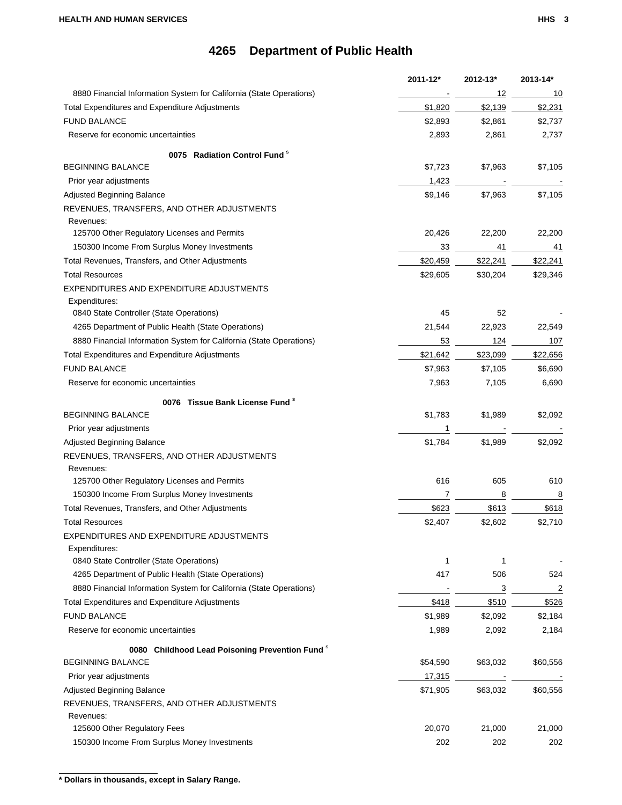|                                                                     | 2011-12* | 2012-13* | 2013-14*       |
|---------------------------------------------------------------------|----------|----------|----------------|
| 8880 Financial Information System for California (State Operations) |          | 12       | 10             |
| Total Expenditures and Expenditure Adjustments                      | \$1,820  | \$2,139  | \$2,231        |
| <b>FUND BALANCE</b>                                                 | \$2,893  | \$2,861  | \$2,737        |
| Reserve for economic uncertainties                                  | 2,893    | 2,861    | 2,737          |
| 0075 Radiation Control Fund <sup>8</sup>                            |          |          |                |
| <b>BEGINNING BALANCE</b>                                            | \$7,723  | \$7,963  | \$7,105        |
| Prior year adjustments                                              | 1,423    |          |                |
| <b>Adjusted Beginning Balance</b>                                   | \$9,146  | \$7,963  | \$7,105        |
| REVENUES, TRANSFERS, AND OTHER ADJUSTMENTS                          |          |          |                |
| Revenues:                                                           |          |          |                |
| 125700 Other Regulatory Licenses and Permits                        | 20,426   | 22,200   | 22,200         |
| 150300 Income From Surplus Money Investments                        | 33       | 41       | 41             |
| Total Revenues, Transfers, and Other Adjustments                    | \$20,459 | \$22,241 | \$22,241       |
| <b>Total Resources</b>                                              | \$29,605 | \$30,204 | \$29,346       |
| EXPENDITURES AND EXPENDITURE ADJUSTMENTS                            |          |          |                |
| Expenditures:                                                       |          |          |                |
| 0840 State Controller (State Operations)                            | 45       | 52       |                |
| 4265 Department of Public Health (State Operations)                 | 21,544   | 22,923   | 22,549         |
| 8880 Financial Information System for California (State Operations) | 53       | 124      | 107            |
| Total Expenditures and Expenditure Adjustments                      | \$21,642 | \$23,099 | \$22,656       |
| <b>FUND BALANCE</b>                                                 | \$7,963  | \$7,105  | \$6,690        |
| Reserve for economic uncertainties                                  | 7,963    | 7,105    | 6,690          |
| 0076 Tissue Bank License Fund <sup>s</sup>                          |          |          |                |
| <b>BEGINNING BALANCE</b>                                            | \$1,783  | \$1,989  | \$2,092        |
| Prior year adjustments                                              | 1        |          |                |
| Adjusted Beginning Balance                                          | \$1,784  | \$1,989  | \$2,092        |
| REVENUES, TRANSFERS, AND OTHER ADJUSTMENTS                          |          |          |                |
| Revenues:                                                           |          |          |                |
| 125700 Other Regulatory Licenses and Permits                        | 616      | 605      | 610            |
| 150300 Income From Surplus Money Investments                        | 7        | 8        | 8              |
| Total Revenues, Transfers, and Other Adjustments                    | \$623    | \$613    | \$618          |
| <b>Total Resources</b>                                              | \$2,407  | \$2,602  | \$2,710        |
| EXPENDITURES AND EXPENDITURE ADJUSTMENTS                            |          |          |                |
| Expenditures:<br>0840 State Controller (State Operations)           | 1        | 1        |                |
| 4265 Department of Public Health (State Operations)                 | 417      | 506      | 524            |
| 8880 Financial Information System for California (State Operations) |          | 3        | $\overline{2}$ |
| Total Expenditures and Expenditure Adjustments                      | \$418    | \$510    | \$526          |
| <b>FUND BALANCE</b>                                                 | \$1,989  | \$2,092  | \$2,184        |
| Reserve for economic uncertainties                                  | 1,989    | 2,092    | 2,184          |
|                                                                     |          |          |                |
| 0080 Childhood Lead Poisoning Prevention Fund <sup>8</sup>          |          |          |                |
| <b>BEGINNING BALANCE</b>                                            | \$54,590 | \$63,032 | \$60,556       |
| Prior year adjustments                                              | 17,315   |          |                |
| Adjusted Beginning Balance                                          | \$71,905 | \$63,032 | \$60,556       |
| REVENUES, TRANSFERS, AND OTHER ADJUSTMENTS                          |          |          |                |
| Revenues:<br>125600 Other Regulatory Fees                           | 20,070   | 21,000   |                |
|                                                                     |          |          | 21,000         |
| 150300 Income From Surplus Money Investments                        | 202      | 202      | 202            |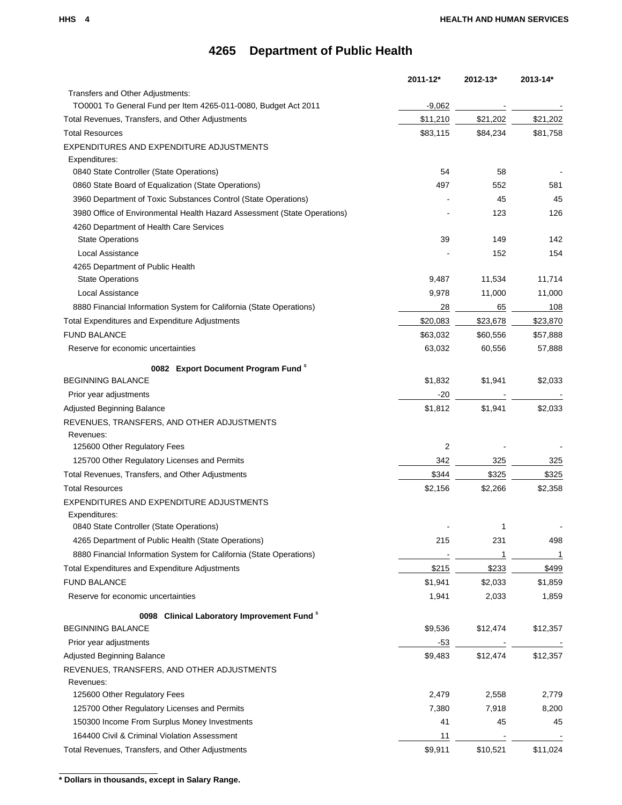|                                                                            | $2011 - 12*$ | 2012-13* | $2013 - 14*$ |
|----------------------------------------------------------------------------|--------------|----------|--------------|
| Transfers and Other Adjustments:                                           |              |          |              |
| TO0001 To General Fund per Item 4265-011-0080, Budget Act 2011             | $-9,062$     |          |              |
| Total Revenues, Transfers, and Other Adjustments                           | \$11,210     | \$21,202 | \$21,202     |
| <b>Total Resources</b>                                                     | \$83,115     | \$84,234 | \$81,758     |
| EXPENDITURES AND EXPENDITURE ADJUSTMENTS                                   |              |          |              |
| Expenditures:<br>0840 State Controller (State Operations)                  | 54           | 58       |              |
|                                                                            | 497          |          |              |
| 0860 State Board of Equalization (State Operations)                        |              | 552      | 581          |
| 3960 Department of Toxic Substances Control (State Operations)             |              | 45       | 45           |
| 3980 Office of Environmental Health Hazard Assessment (State Operations)   |              | 123      | 126          |
| 4260 Department of Health Care Services<br><b>State Operations</b>         | 39           | 149      | 142          |
| Local Assistance                                                           |              | 152      | 154          |
| 4265 Department of Public Health                                           |              |          |              |
| <b>State Operations</b>                                                    | 9,487        | 11,534   | 11,714       |
| <b>Local Assistance</b>                                                    | 9,978        | 11,000   | 11,000       |
| 8880 Financial Information System for California (State Operations)        | 28           | 65       | 108          |
| Total Expenditures and Expenditure Adjustments                             | \$20,083     | \$23,678 | \$23,870     |
| <b>FUND BALANCE</b>                                                        | \$63,032     | \$60,556 | \$57,888     |
| Reserve for economic uncertainties                                         | 63,032       | 60,556   | 57,888       |
|                                                                            |              |          |              |
| 0082 Export Document Program Fund <sup>8</sup><br><b>BEGINNING BALANCE</b> | \$1,832      | \$1,941  | \$2,033      |
| Prior year adjustments                                                     | $-20$        |          |              |
| Adjusted Beginning Balance                                                 | \$1,812      | \$1,941  | \$2,033      |
| REVENUES, TRANSFERS, AND OTHER ADJUSTMENTS                                 |              |          |              |
| Revenues:                                                                  |              |          |              |
| 125600 Other Regulatory Fees                                               | 2            |          |              |
| 125700 Other Regulatory Licenses and Permits                               | 342          | 325      | 325          |
| Total Revenues, Transfers, and Other Adjustments                           | \$344        | \$325    | \$325        |
| <b>Total Resources</b>                                                     | \$2,156      | \$2,266  | \$2,358      |
| EXPENDITURES AND EXPENDITURE ADJUSTMENTS                                   |              |          |              |
| Expenditures:                                                              |              |          |              |
| 0840 State Controller (State Operations)                                   |              |          |              |
| 4265 Department of Public Health (State Operations)                        | 215          | 231      | 498          |
| 8880 Financial Information System for California (State Operations)        |              | 1        | 1            |
| Total Expenditures and Expenditure Adjustments                             | \$215        | \$233    | \$499        |
| <b>FUND BALANCE</b>                                                        | \$1,941      | \$2,033  | \$1,859      |
| Reserve for economic uncertainties                                         | 1,941        | 2,033    | 1,859        |
|                                                                            |              |          |              |
| 0098 Clinical Laboratory Improvement Fund <sup>8</sup>                     |              |          |              |
| <b>BEGINNING BALANCE</b>                                                   | \$9,536      | \$12,474 | \$12,357     |
| Prior year adjustments                                                     | -53          |          |              |
| <b>Adjusted Beginning Balance</b>                                          | \$9,483      | \$12,474 | \$12,357     |
| REVENUES, TRANSFERS, AND OTHER ADJUSTMENTS                                 |              |          |              |
| Revenues:                                                                  |              |          |              |
| 125600 Other Regulatory Fees                                               | 2,479        | 2,558    | 2,779        |
| 125700 Other Regulatory Licenses and Permits                               | 7,380        | 7,918    | 8,200        |
| 150300 Income From Surplus Money Investments                               | 41           | 45       | 45           |
| 164400 Civil & Criminal Violation Assessment                               | 11           |          |              |
| Total Revenues, Transfers, and Other Adjustments                           | \$9,911      | \$10,521 | \$11,024     |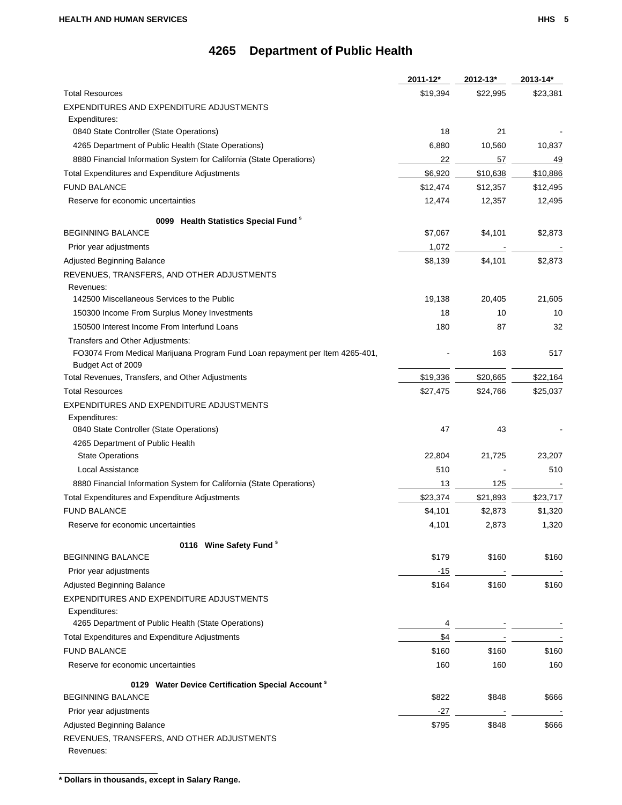|                                                                              | 2011-12* | 2012-13* | 2013-14* |
|------------------------------------------------------------------------------|----------|----------|----------|
| <b>Total Resources</b>                                                       | \$19,394 | \$22,995 | \$23,381 |
| EXPENDITURES AND EXPENDITURE ADJUSTMENTS                                     |          |          |          |
| Expenditures:                                                                |          |          |          |
| 0840 State Controller (State Operations)                                     | 18       | 21       |          |
| 4265 Department of Public Health (State Operations)                          | 6,880    | 10,560   | 10,837   |
| 8880 Financial Information System for California (State Operations)          | 22       | 57       | 49       |
| <b>Total Expenditures and Expenditure Adjustments</b>                        | \$6,920  | \$10,638 | \$10,886 |
| <b>FUND BALANCE</b>                                                          | \$12,474 | \$12,357 | \$12,495 |
| Reserve for economic uncertainties                                           | 12,474   | 12,357   | 12,495   |
| 0099 Health Statistics Special Fund <sup>8</sup>                             |          |          |          |
| <b>BEGINNING BALANCE</b>                                                     | \$7,067  | \$4,101  | \$2,873  |
| Prior year adjustments                                                       | 1,072    |          |          |
| Adjusted Beginning Balance                                                   | \$8,139  | \$4,101  | \$2,873  |
| REVENUES, TRANSFERS, AND OTHER ADJUSTMENTS                                   |          |          |          |
| Revenues:                                                                    |          |          |          |
| 142500 Miscellaneous Services to the Public                                  | 19,138   | 20,405   | 21,605   |
| 150300 Income From Surplus Money Investments                                 | 18       | 10       | 10       |
| 150500 Interest Income From Interfund Loans                                  | 180      | 87       | 32       |
| Transfers and Other Adjustments:                                             |          |          |          |
| FO3074 From Medical Marijuana Program Fund Loan repayment per Item 4265-401, |          | 163      | 517      |
| Budget Act of 2009                                                           |          |          |          |
| Total Revenues, Transfers, and Other Adjustments                             | \$19,336 | \$20,665 | \$22,164 |
| <b>Total Resources</b>                                                       | \$27,475 | \$24,766 | \$25,037 |
| EXPENDITURES AND EXPENDITURE ADJUSTMENTS                                     |          |          |          |
| Expenditures:<br>0840 State Controller (State Operations)                    | 47       | 43       |          |
| 4265 Department of Public Health                                             |          |          |          |
| <b>State Operations</b>                                                      | 22,804   | 21,725   | 23,207   |
| Local Assistance                                                             | 510      |          | 510      |
| 8880 Financial Information System for California (State Operations)          | 13       | 125      |          |
| <b>Total Expenditures and Expenditure Adjustments</b>                        | \$23,374 | \$21,893 | \$23,717 |
|                                                                              |          |          |          |
| <b>FUND BALANCE</b>                                                          | \$4,101  | \$2,873  | \$1,320  |
| Reserve for economic uncertainties                                           | 4,101    | 2,873    | 1,320    |
| 0116 Wine Safety Fund <sup>s</sup>                                           |          |          |          |
| <b>BEGINNING BALANCE</b>                                                     | \$179    | \$160    | \$160    |
| Prior year adjustments                                                       | -15      |          |          |
| Adjusted Beginning Balance                                                   | \$164    | \$160    | \$160    |
| EXPENDITURES AND EXPENDITURE ADJUSTMENTS                                     |          |          |          |
| Expenditures:                                                                |          |          |          |
| 4265 Department of Public Health (State Operations)                          | 4        |          |          |
| Total Expenditures and Expenditure Adjustments                               | \$4      |          |          |
| <b>FUND BALANCE</b>                                                          | \$160    | \$160    | \$160    |
| Reserve for economic uncertainties                                           | 160      | 160      | 160      |
| 0129 Water Device Certification Special Account <sup>8</sup>                 |          |          |          |
| <b>BEGINNING BALANCE</b>                                                     | \$822    | \$848    | \$666    |
| Prior year adjustments                                                       | -27      |          |          |
| Adjusted Beginning Balance                                                   | \$795    | \$848    | \$666    |
| REVENUES, TRANSFERS, AND OTHER ADJUSTMENTS                                   |          |          |          |
| Revenues:                                                                    |          |          |          |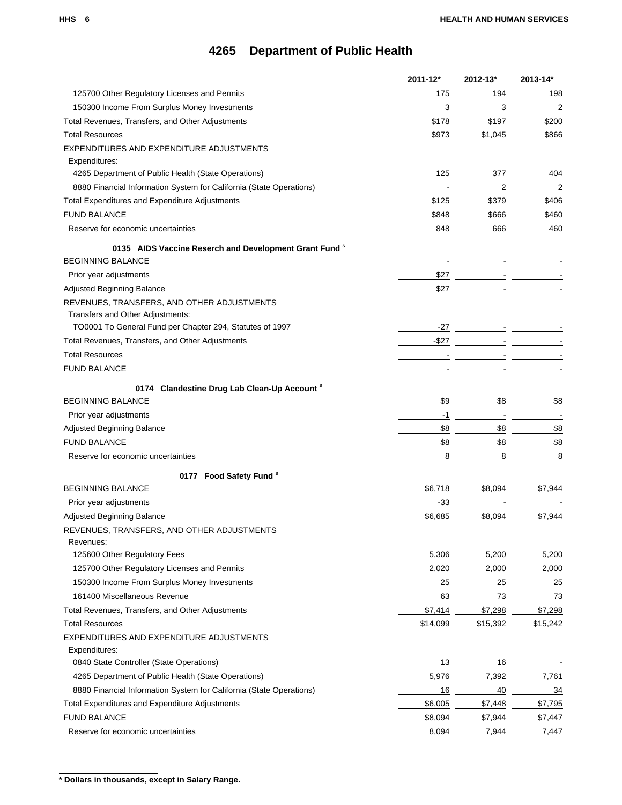|                                                                     | 2011-12* | 2012-13* | 2013-14*       |
|---------------------------------------------------------------------|----------|----------|----------------|
| 125700 Other Regulatory Licenses and Permits                        | 175      | 194      | 198            |
| 150300 Income From Surplus Money Investments                        | 3        | 3        | $\overline{c}$ |
| Total Revenues, Transfers, and Other Adjustments                    | \$178    | \$197    | \$200          |
| <b>Total Resources</b>                                              | \$973    | \$1,045  | \$866          |
| EXPENDITURES AND EXPENDITURE ADJUSTMENTS                            |          |          |                |
| Expenditures:                                                       |          |          |                |
| 4265 Department of Public Health (State Operations)                 | 125      | 377      | 404            |
| 8880 Financial Information System for California (State Operations) |          | 2        | 2              |
| Total Expenditures and Expenditure Adjustments                      | \$125    | \$379    | \$406          |
| <b>FUND BALANCE</b>                                                 | \$848    | \$666    | \$460          |
| Reserve for economic uncertainties                                  | 848      | 666      | 460            |
| 0135 AIDS Vaccine Reserch and Development Grant Fund <sup>8</sup>   |          |          |                |
| <b>BEGINNING BALANCE</b>                                            |          |          |                |
| Prior year adjustments                                              | \$27     |          |                |
| Adjusted Beginning Balance                                          | \$27     |          |                |
| REVENUES, TRANSFERS, AND OTHER ADJUSTMENTS                          |          |          |                |
| Transfers and Other Adjustments:                                    |          |          |                |
| TO0001 To General Fund per Chapter 294, Statutes of 1997            | $-27$    |          |                |
| Total Revenues, Transfers, and Other Adjustments                    | $-$ \$27 |          |                |
| <b>Total Resources</b>                                              |          |          |                |
| <b>FUND BALANCE</b>                                                 |          |          |                |
| 0174 Clandestine Drug Lab Clean-Up Account <sup>8</sup>             |          |          |                |
| <b>BEGINNING BALANCE</b>                                            | \$9      | \$8      | \$8            |
| Prior year adjustments                                              | $-1$     |          |                |
| Adjusted Beginning Balance                                          | \$8      | \$8      | \$8            |
| <b>FUND BALANCE</b>                                                 | \$8      | \$8      | \$8            |
| Reserve for economic uncertainties                                  | 8        | 8        | 8              |
|                                                                     |          |          |                |
| 0177 Food Safety Fund <sup>\$</sup>                                 |          |          |                |
| <b>BEGINNING BALANCE</b>                                            | \$6,718  | \$8,094  | \$7,944        |
| Prior year adjustments                                              | -33      |          |                |
| Adjusted Beginning Balance                                          | \$6,685  | \$8,094  | \$7,944        |
| REVENUES, TRANSFERS, AND OTHER ADJUSTMENTS                          |          |          |                |
| Revenues:<br>125600 Other Regulatory Fees                           | 5,306    | 5,200    | 5,200          |
| 125700 Other Regulatory Licenses and Permits                        | 2,020    | 2,000    | 2,000          |
| 150300 Income From Surplus Money Investments                        | 25       | 25       | 25             |
| 161400 Miscellaneous Revenue                                        | 63       | 73       | 73             |
| Total Revenues, Transfers, and Other Adjustments                    | \$7,414  | \$7,298  | \$7,298        |
| <b>Total Resources</b>                                              | \$14,099 | \$15,392 | \$15,242       |
| EXPENDITURES AND EXPENDITURE ADJUSTMENTS                            |          |          |                |
| Expenditures:                                                       |          |          |                |
| 0840 State Controller (State Operations)                            | 13       | 16       |                |
| 4265 Department of Public Health (State Operations)                 | 5,976    | 7,392    | 7,761          |
| 8880 Financial Information System for California (State Operations) | 16       | 40       | 34             |
| Total Expenditures and Expenditure Adjustments                      | \$6,005  | \$7,448  | \$7,795        |
| <b>FUND BALANCE</b>                                                 | \$8,094  | \$7,944  | \$7,447        |
| Reserve for economic uncertainties                                  | 8,094    | 7,944    | 7,447          |
|                                                                     |          |          |                |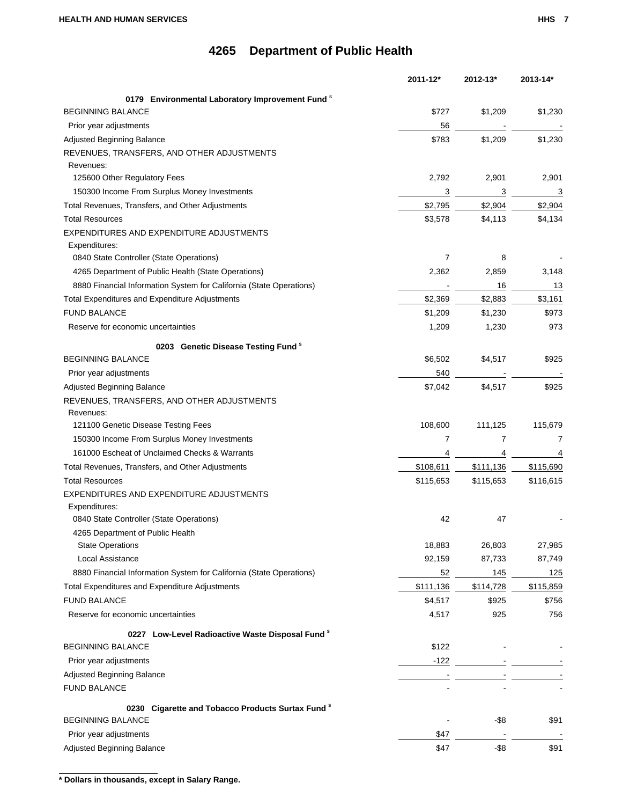|                                                                                          | 2011-12*       | 2012-13*                          | 2013-14*     |
|------------------------------------------------------------------------------------------|----------------|-----------------------------------|--------------|
| 0179 Environmental Laboratory Improvement Fund <sup>8</sup>                              |                |                                   |              |
| <b>BEGINNING BALANCE</b>                                                                 | \$727          | \$1,209                           | \$1,230      |
| Prior year adjustments                                                                   | 56             |                                   |              |
| Adjusted Beginning Balance                                                               | \$783          | \$1,209                           | \$1,230      |
| REVENUES, TRANSFERS, AND OTHER ADJUSTMENTS                                               |                |                                   |              |
| Revenues:                                                                                |                |                                   |              |
| 125600 Other Regulatory Fees                                                             | 2,792          | 2,901                             | 2,901        |
| 150300 Income From Surplus Money Investments                                             | 3              | 3                                 | 3            |
| Total Revenues, Transfers, and Other Adjustments                                         | \$2,795        | \$2,904                           | \$2,904      |
| <b>Total Resources</b>                                                                   | \$3,578        | \$4,113                           | \$4,134      |
| EXPENDITURES AND EXPENDITURE ADJUSTMENTS                                                 |                |                                   |              |
| Expenditures:                                                                            |                |                                   |              |
| 0840 State Controller (State Operations)                                                 | $\overline{7}$ | 8                                 |              |
| 4265 Department of Public Health (State Operations)                                      | 2,362          | 2,859                             | 3,148        |
| 8880 Financial Information System for California (State Operations)                      |                | 16                                | 13           |
| Total Expenditures and Expenditure Adjustments                                           | \$2,369        | \$2,883                           | \$3,161      |
| <b>FUND BALANCE</b>                                                                      | \$1,209        | \$1,230                           | \$973        |
| Reserve for economic uncertainties                                                       | 1,209          | 1,230                             | 973          |
|                                                                                          |                |                                   |              |
| 0203 Genetic Disease Testing Fund <sup>8</sup>                                           |                |                                   |              |
| <b>BEGINNING BALANCE</b>                                                                 | \$6,502        | \$4,517                           | \$925        |
| Prior year adjustments                                                                   | 540            |                                   |              |
| Adjusted Beginning Balance                                                               | \$7,042        | \$4,517                           | \$925        |
| REVENUES, TRANSFERS, AND OTHER ADJUSTMENTS                                               |                |                                   |              |
| Revenues:                                                                                |                |                                   |              |
| 121100 Genetic Disease Testing Fees                                                      | 108,600<br>7   | 111,125<br>7                      | 115,679<br>7 |
| 150300 Income From Surplus Money Investments                                             |                |                                   |              |
| 161000 Escheat of Unclaimed Checks & Warrants                                            | 4              | 4                                 | 4            |
| Total Revenues, Transfers, and Other Adjustments                                         | \$108,611      | \$111,136                         | \$115,690    |
| <b>Total Resources</b>                                                                   | \$115,653      | \$115,653                         | \$116,615    |
| EXPENDITURES AND EXPENDITURE ADJUSTMENTS                                                 |                |                                   |              |
| Expenditures:                                                                            | 42             | 47                                |              |
| 0840 State Controller (State Operations)                                                 |                |                                   |              |
| 4265 Department of Public Health<br><b>State Operations</b>                              | 18,883         | 26,803                            | 27,985       |
| Local Assistance                                                                         | 92,159         |                                   |              |
|                                                                                          |                | 87,733                            | 87,749       |
| 8880 Financial Information System for California (State Operations)                      | 52             | 145                               | 125          |
| Total Expenditures and Expenditure Adjustments                                           | \$111,136      | \$114,728                         | \$115,859    |
| <b>FUND BALANCE</b>                                                                      | \$4,517        | \$925                             | \$756        |
| Reserve for economic uncertainties                                                       | 4,517          | 925                               | 756          |
| 0227 Low-Level Radioactive Waste Disposal Fund <sup>8</sup>                              |                |                                   |              |
| BEGINNING BALANCE                                                                        | \$122          |                                   |              |
| Prior year adjustments                                                                   | $-122$         | the control of the control of the |              |
| Adjusted Beginning Balance                                                               |                |                                   |              |
| <b>FUND BALANCE</b>                                                                      |                |                                   |              |
|                                                                                          |                |                                   |              |
| 0230 Cigarette and Tobacco Products Surtax Fund <sup>8</sup><br><b>BEGINNING BALANCE</b> |                | -\$8                              | \$91         |
|                                                                                          |                |                                   |              |
| Prior year adjustments                                                                   | \$47           |                                   |              |
| Adjusted Beginning Balance                                                               | \$47           | $-$ \$8                           | \$91         |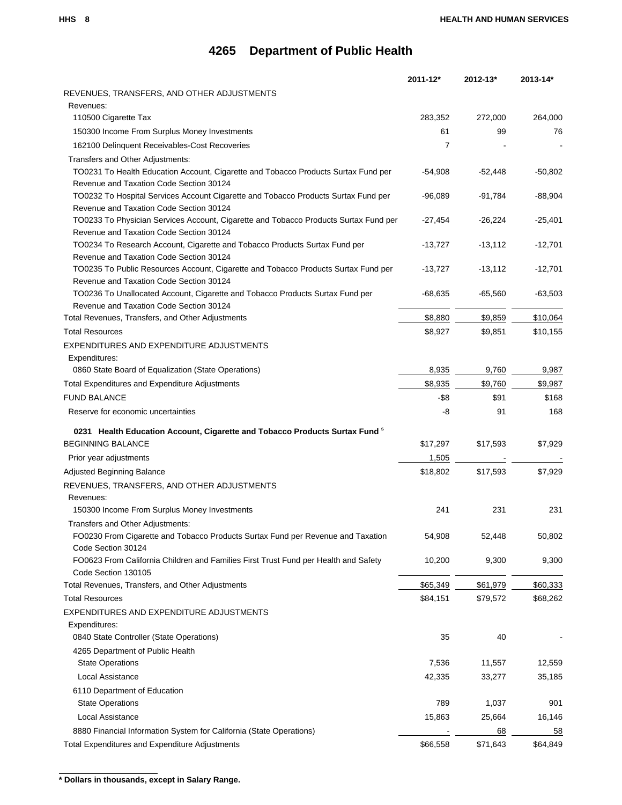|                                                                                             | 2011-12*       | 2012-13*  | 2013-14*  |
|---------------------------------------------------------------------------------------------|----------------|-----------|-----------|
| REVENUES, TRANSFERS, AND OTHER ADJUSTMENTS                                                  |                |           |           |
| Revenues:                                                                                   |                |           |           |
| 110500 Cigarette Tax                                                                        | 283,352        | 272,000   | 264,000   |
| 150300 Income From Surplus Money Investments                                                | 61             | 99        | 76        |
| 162100 Delinquent Receivables-Cost Recoveries                                               | $\overline{7}$ |           |           |
| Transfers and Other Adjustments:                                                            |                |           |           |
| TO0231 To Health Education Account, Cigarette and Tobacco Products Surtax Fund per          | $-54,908$      | $-52,448$ | $-50,802$ |
| Revenue and Taxation Code Section 30124                                                     |                |           |           |
| TO0232 To Hospital Services Account Cigarette and Tobacco Products Surtax Fund per          | $-96,089$      | $-91,784$ | $-88,904$ |
| Revenue and Taxation Code Section 30124                                                     |                |           |           |
| TO0233 To Physician Services Account, Cigarette and Tobacco Products Surtax Fund per        | $-27,454$      | $-26,224$ | $-25,401$ |
| Revenue and Taxation Code Section 30124                                                     |                |           |           |
| TO0234 To Research Account, Cigarette and Tobacco Products Surtax Fund per                  | $-13,727$      | $-13,112$ | $-12,701$ |
| Revenue and Taxation Code Section 30124                                                     |                |           |           |
| TO0235 To Public Resources Account, Cigarette and Tobacco Products Surtax Fund per          | $-13,727$      | $-13,112$ | $-12,701$ |
| Revenue and Taxation Code Section 30124                                                     |                |           |           |
| TO0236 To Unallocated Account, Cigarette and Tobacco Products Surtax Fund per               | $-68,635$      | $-65,560$ | $-63,503$ |
| Revenue and Taxation Code Section 30124<br>Total Revenues, Transfers, and Other Adjustments | \$8,880        | \$9,859   | \$10,064  |
|                                                                                             |                |           |           |
| <b>Total Resources</b>                                                                      | \$8,927        | \$9,851   | \$10,155  |
| EXPENDITURES AND EXPENDITURE ADJUSTMENTS                                                    |                |           |           |
| Expenditures:                                                                               |                |           |           |
| 0860 State Board of Equalization (State Operations)                                         | 8,935          | 9,760     | 9,987     |
| <b>Total Expenditures and Expenditure Adjustments</b>                                       | \$8,935        | \$9,760   | \$9,987   |
| <b>FUND BALANCE</b>                                                                         | $-$ \$8        | \$91      | \$168     |
| Reserve for economic uncertainties                                                          | -8             | 91        | 168       |
| 0231 Health Education Account, Cigarette and Tobacco Products Surtax Fund <sup>8</sup>      |                |           |           |
| <b>BEGINNING BALANCE</b>                                                                    | \$17,297       | \$17,593  | \$7,929   |
| Prior year adjustments                                                                      | 1,505          |           |           |
| <b>Adjusted Beginning Balance</b>                                                           | \$18,802       | \$17,593  | \$7,929   |
| REVENUES, TRANSFERS, AND OTHER ADJUSTMENTS                                                  |                |           |           |
| Revenues:                                                                                   |                |           |           |
| 150300 Income From Surplus Money Investments                                                | 241            | 231       | 231       |
| Transfers and Other Adjustments:                                                            |                |           |           |
| FO0230 From Cigarette and Tobacco Products Surtax Fund per Revenue and Taxation             | 54,908         | 52,448    | 50,802    |
| Code Section 30124                                                                          |                |           |           |
| FO0623 From California Children and Families First Trust Fund per Health and Safety         | 10,200         | 9,300     | 9,300     |
| Code Section 130105                                                                         |                |           |           |
| Total Revenues, Transfers, and Other Adjustments                                            | \$65,349       | \$61,979  | \$60,333  |
| <b>Total Resources</b>                                                                      | \$84,151       | \$79,572  | \$68,262  |
| EXPENDITURES AND EXPENDITURE ADJUSTMENTS                                                    |                |           |           |
| Expenditures:                                                                               |                |           |           |
| 0840 State Controller (State Operations)                                                    | 35             | 40        |           |
| 4265 Department of Public Health                                                            |                |           |           |
| <b>State Operations</b>                                                                     | 7,536          | 11,557    | 12,559    |
| Local Assistance                                                                            | 42,335         | 33,277    | 35,185    |
| 6110 Department of Education                                                                |                |           |           |
| <b>State Operations</b>                                                                     | 789            | 1,037     | 901       |
| Local Assistance                                                                            | 15,863         | 25,664    | 16,146    |
| 8880 Financial Information System for California (State Operations)                         |                | 68        | 58        |
| Total Expenditures and Expenditure Adjustments                                              | \$66,558       | \$71,643  | \$64,849  |
|                                                                                             |                |           |           |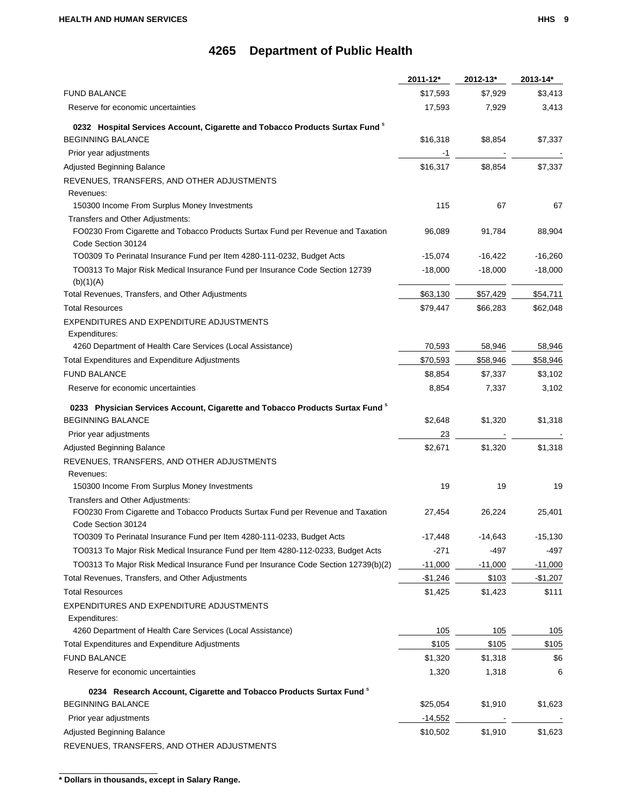|                                                                                                       | 2011-12*  | 2012-13*  | 2013-14*  |
|-------------------------------------------------------------------------------------------------------|-----------|-----------|-----------|
| <b>FUND BALANCE</b>                                                                                   | \$17,593  | \$7,929   | \$3,413   |
| Reserve for economic uncertainties                                                                    | 17,593    | 7,929     | 3,413     |
| 0232 Hospital Services Account, Cigarette and Tobacco Products Surtax Fund <sup>8</sup>               |           |           |           |
| <b>BEGINNING BALANCE</b>                                                                              | \$16,318  | \$8,854   | \$7,337   |
| Prior year adjustments                                                                                | -1        |           |           |
| Adjusted Beginning Balance                                                                            | \$16,317  | \$8,854   | \$7,337   |
| REVENUES, TRANSFERS, AND OTHER ADJUSTMENTS                                                            |           |           |           |
| Revenues:                                                                                             |           |           |           |
| 150300 Income From Surplus Money Investments                                                          | 115       | 67        | 67        |
| Transfers and Other Adjustments:                                                                      |           |           |           |
| FO0230 From Cigarette and Tobacco Products Surtax Fund per Revenue and Taxation<br>Code Section 30124 | 96,089    | 91,784    | 88,904    |
| TO0309 To Perinatal Insurance Fund per Item 4280-111-0232, Budget Acts                                | $-15,074$ | $-16,422$ | $-16,260$ |
| TO0313 To Major Risk Medical Insurance Fund per Insurance Code Section 12739<br>(b)(1)(A)             | $-18,000$ | $-18,000$ | $-18,000$ |
| Total Revenues, Transfers, and Other Adjustments                                                      | \$63,130  | \$57,429  | \$54,711  |
| <b>Total Resources</b>                                                                                | \$79,447  | \$66,283  | \$62,048  |
| EXPENDITURES AND EXPENDITURE ADJUSTMENTS                                                              |           |           |           |
| Expenditures:                                                                                         |           |           |           |
| 4260 Department of Health Care Services (Local Assistance)                                            | 70,593    | 58,946    | 58,946    |
| Total Expenditures and Expenditure Adjustments                                                        | \$70,593  | \$58,946  | \$58,946  |
| <b>FUND BALANCE</b>                                                                                   | \$8,854   | \$7,337   | \$3,102   |
| Reserve for economic uncertainties                                                                    | 8,854     | 7,337     | 3,102     |
| 0233 Physician Services Account, Cigarette and Tobacco Products Surtax Fund <sup>8</sup>              |           |           |           |
| <b>BEGINNING BALANCE</b>                                                                              | \$2,648   | \$1,320   | \$1,318   |
| Prior year adjustments                                                                                | 23        |           |           |
| Adjusted Beginning Balance                                                                            | \$2,671   | \$1,320   | \$1,318   |
| REVENUES, TRANSFERS, AND OTHER ADJUSTMENTS                                                            |           |           |           |
| Revenues:                                                                                             |           |           |           |
| 150300 Income From Surplus Money Investments                                                          | 19        | 19        | 19        |
| Transfers and Other Adjustments:                                                                      |           |           |           |
| FO0230 From Cigarette and Tobacco Products Surtax Fund per Revenue and Taxation<br>Code Section 30124 | 27,454    | 26,224    | 25,401    |
| TO0309 To Perinatal Insurance Fund per Item 4280-111-0233, Budget Acts                                | $-17,448$ | $-14,643$ | $-15,130$ |
| TO0313 To Major Risk Medical Insurance Fund per Item 4280-112-0233, Budget Acts                       | $-271$    | -497      | -497      |
| TO0313 To Major Risk Medical Insurance Fund per Insurance Code Section 12739(b)(2)                    | $-11,000$ | $-11,000$ | $-11,000$ |
| Total Revenues, Transfers, and Other Adjustments                                                      | $-$1,246$ | \$103     | $-$1,207$ |
| <b>Total Resources</b>                                                                                | \$1,425   | \$1,423   | \$111     |
| EXPENDITURES AND EXPENDITURE ADJUSTMENTS                                                              |           |           |           |
| Expenditures:                                                                                         |           |           |           |
| 4260 Department of Health Care Services (Local Assistance)                                            | 105       | 105       | 105       |
| Total Expenditures and Expenditure Adjustments                                                        | \$105     | \$105     | \$105     |
| <b>FUND BALANCE</b>                                                                                   | \$1,320   | \$1,318   | \$6       |
| Reserve for economic uncertainties                                                                    | 1,320     | 1,318     | 6         |
| 0234 Research Account, Cigarette and Tobacco Products Surtax Fund <sup>8</sup>                        |           |           |           |
| <b>BEGINNING BALANCE</b>                                                                              | \$25,054  | \$1,910   | \$1,623   |
| Prior year adjustments                                                                                | $-14,552$ |           |           |
| Adjusted Beginning Balance                                                                            | \$10,502  | \$1,910   | \$1,623   |
| REVENUES, TRANSFERS, AND OTHER ADJUSTMENTS                                                            |           |           |           |

**<sup>\*</sup> Dollars in thousands, except in Salary Range.**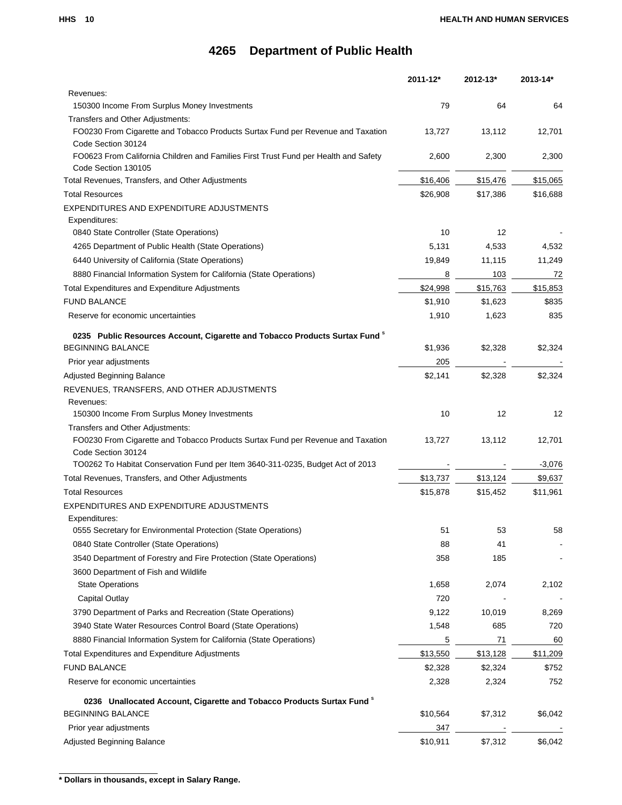|                                                                                                            | 2011-12* | $2012 - 13*$ | 2013-14* |
|------------------------------------------------------------------------------------------------------------|----------|--------------|----------|
| Revenues:                                                                                                  |          |              |          |
| 150300 Income From Surplus Money Investments                                                               | 79       | 64           | 64       |
| Transfers and Other Adjustments:                                                                           |          |              |          |
| FO0230 From Cigarette and Tobacco Products Surtax Fund per Revenue and Taxation                            | 13,727   | 13,112       | 12,701   |
| Code Section 30124                                                                                         |          |              |          |
| FO0623 From California Children and Families First Trust Fund per Health and Safety<br>Code Section 130105 | 2,600    | 2,300        | 2,300    |
| Total Revenues, Transfers, and Other Adjustments                                                           | \$16,406 | \$15,476     | \$15,065 |
| <b>Total Resources</b>                                                                                     | \$26,908 | \$17,386     | \$16,688 |
| EXPENDITURES AND EXPENDITURE ADJUSTMENTS                                                                   |          |              |          |
| Expenditures:                                                                                              |          |              |          |
| 0840 State Controller (State Operations)                                                                   | 10       | 12           |          |
| 4265 Department of Public Health (State Operations)                                                        | 5,131    | 4,533        | 4,532    |
| 6440 University of California (State Operations)                                                           | 19,849   | 11,115       | 11,249   |
| 8880 Financial Information System for California (State Operations)                                        | 8        | 103          | 72       |
| <b>Total Expenditures and Expenditure Adjustments</b>                                                      | \$24,998 | \$15,763     | \$15,853 |
| <b>FUND BALANCE</b>                                                                                        | \$1,910  | \$1,623      | \$835    |
| Reserve for economic uncertainties                                                                         | 1,910    | 1,623        | 835      |
|                                                                                                            |          |              |          |
| 0235 Public Resources Account, Cigarette and Tobacco Products Surtax Fund <sup>8</sup>                     |          |              |          |
| <b>BEGINNING BALANCE</b>                                                                                   | \$1,936  | \$2,328      | \$2,324  |
| Prior year adjustments                                                                                     | 205      |              |          |
| Adjusted Beginning Balance                                                                                 | \$2,141  | \$2,328      | \$2,324  |
| REVENUES, TRANSFERS, AND OTHER ADJUSTMENTS                                                                 |          |              |          |
| Revenues:                                                                                                  |          |              |          |
| 150300 Income From Surplus Money Investments                                                               | 10       | 12           | 12       |
| Transfers and Other Adjustments:                                                                           |          |              |          |
| FO0230 From Cigarette and Tobacco Products Surtax Fund per Revenue and Taxation<br>Code Section 30124      | 13,727   | 13,112       | 12,701   |
| TO0262 To Habitat Conservation Fund per Item 3640-311-0235, Budget Act of 2013                             |          |              | $-3,076$ |
| Total Revenues, Transfers, and Other Adjustments                                                           | \$13,737 | \$13,124     | \$9,637  |
| <b>Total Resources</b>                                                                                     | \$15,878 | \$15,452     | \$11,961 |
| EXPENDITURES AND EXPENDITURE ADJUSTMENTS                                                                   |          |              |          |
| Expenditures:                                                                                              |          |              |          |
| 0555 Secretary for Environmental Protection (State Operations)                                             | 51       | 53           | 58       |
| 0840 State Controller (State Operations)                                                                   | 88       | 41           |          |
| 3540 Department of Forestry and Fire Protection (State Operations)                                         | 358      | 185          |          |
| 3600 Department of Fish and Wildlife                                                                       |          |              |          |
| <b>State Operations</b>                                                                                    | 1,658    | 2,074        | 2,102    |
| Capital Outlay                                                                                             | 720      |              |          |
| 3790 Department of Parks and Recreation (State Operations)                                                 | 9,122    | 10,019       | 8,269    |
| 3940 State Water Resources Control Board (State Operations)                                                | 1,548    | 685          | 720      |
| 8880 Financial Information System for California (State Operations)                                        | 5        | 71           | 60       |
| <b>Total Expenditures and Expenditure Adjustments</b>                                                      | \$13,550 | \$13,128     | \$11,209 |
| <b>FUND BALANCE</b>                                                                                        | \$2,328  | \$2,324      | \$752    |
| Reserve for economic uncertainties                                                                         | 2,328    | 2,324        | 752      |
|                                                                                                            |          |              |          |
| 0236 Unallocated Account, Cigarette and Tobacco Products Surtax Fund <sup>8</sup>                          |          |              |          |
| <b>BEGINNING BALANCE</b>                                                                                   | \$10,564 | \$7,312      | \$6,042  |
| Prior year adjustments                                                                                     | 347      |              |          |
| Adjusted Beginning Balance                                                                                 | \$10,911 | \$7,312      | \$6,042  |

**<sup>\*</sup> Dollars in thousands, except in Salary Range.**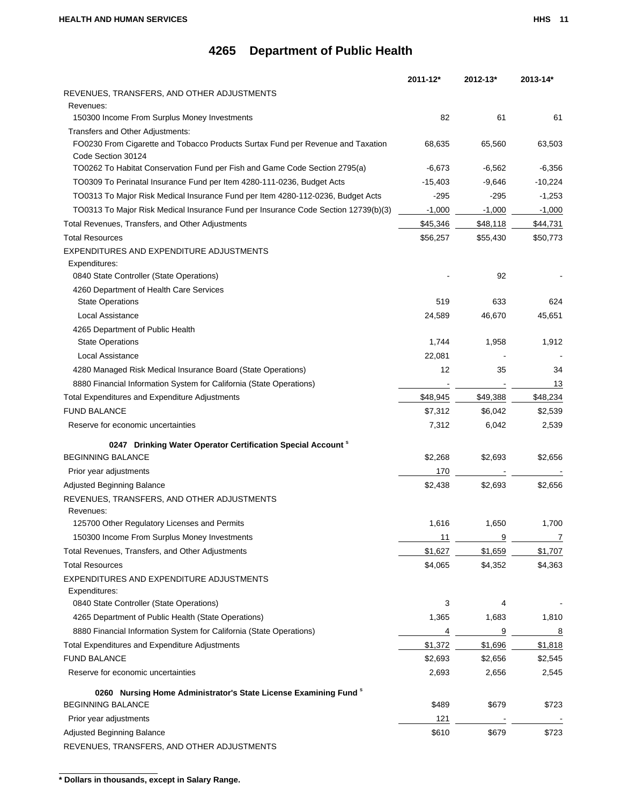| REVENUES, TRANSFERS, AND OTHER ADJUSTMENTS<br>Revenues:<br>150300 Income From Surplus Money Investments<br>82<br>61<br>61<br>Transfers and Other Adjustments:<br>FO0230 From Cigarette and Tobacco Products Surtax Fund per Revenue and Taxation<br>68,635<br>65,560<br>63,503<br>Code Section 30124<br>TO0262 To Habitat Conservation Fund per Fish and Game Code Section 2795(a)<br>$-6,673$<br>$-6,562$<br>$-6,356$<br>TO0309 To Perinatal Insurance Fund per Item 4280-111-0236, Budget Acts<br>$-15,403$<br>$-9,646$<br>$-10,224$<br>TO0313 To Major Risk Medical Insurance Fund per Item 4280-112-0236, Budget Acts<br>$-295$<br>-295<br>$-1,253$<br>TO0313 To Major Risk Medical Insurance Fund per Insurance Code Section 12739(b)(3)<br>$-1,000$<br>$-1,000$<br>$-1,000$<br>Total Revenues, Transfers, and Other Adjustments<br>\$45,346<br>\$48,118<br>\$44,731<br><b>Total Resources</b><br>\$50,773<br>\$56,257<br>\$55,430<br>EXPENDITURES AND EXPENDITURE ADJUSTMENTS<br>Expenditures:<br>0840 State Controller (State Operations)<br>92<br>4260 Department of Health Care Services<br>633<br><b>State Operations</b><br>519<br>624<br>Local Assistance<br>24,589<br>46,670<br>45,651<br>4265 Department of Public Health<br><b>State Operations</b><br>1,744<br>1,958<br>1,912<br>22,081<br>Local Assistance<br>12<br>4280 Managed Risk Medical Insurance Board (State Operations)<br>35<br>34<br>8880 Financial Information System for California (State Operations)<br>13<br>\$48,945<br>\$49,388<br>\$48,234<br><b>Total Expenditures and Expenditure Adjustments</b><br><b>FUND BALANCE</b><br>\$7,312<br>\$6,042<br>\$2,539<br>Reserve for economic uncertainties<br>7,312<br>6,042<br>2,539<br>0247 Drinking Water Operator Certification Special Account <sup>8</sup><br><b>BEGINNING BALANCE</b><br>\$2,268<br>\$2,693<br>\$2,656<br>Prior year adjustments<br>170<br><b>Adjusted Beginning Balance</b><br>\$2,438<br>\$2,693<br>\$2,656<br>REVENUES, TRANSFERS, AND OTHER ADJUSTMENTS<br>Revenues:<br>1,616<br>1,650<br>1,700<br>125700 Other Regulatory Licenses and Permits<br>150300 Income From Surplus Money Investments<br>9<br>11<br>7<br>\$1,659<br>Total Revenues, Transfers, and Other Adjustments<br>\$1,627<br>\$1,707<br><b>Total Resources</b><br>\$4,065<br>\$4,352<br>\$4,363<br>EXPENDITURES AND EXPENDITURE ADJUSTMENTS<br>Expenditures:<br>0840 State Controller (State Operations)<br>3<br>4<br>4265 Department of Public Health (State Operations)<br>1,365<br>1,683<br>1,810<br>8880 Financial Information System for California (State Operations)<br>9<br>4<br>8<br>Total Expenditures and Expenditure Adjustments<br>\$1,372<br>\$1,696<br>\$1,818<br><b>FUND BALANCE</b><br>\$2,693<br>\$2,656<br>\$2,545<br>Reserve for economic uncertainties<br>2,693<br>2,656<br>2,545<br>0260 Nursing Home Administrator's State License Examining Fund <sup>8</sup><br><b>BEGINNING BALANCE</b><br>\$489<br>\$679<br>\$723<br>121<br>Prior year adjustments<br>\$610<br>\$679<br>\$723<br>Adjusted Beginning Balance |                                            | $2011 - 12*$ | $2012 - 13*$ | 2013-14* |
|--------------------------------------------------------------------------------------------------------------------------------------------------------------------------------------------------------------------------------------------------------------------------------------------------------------------------------------------------------------------------------------------------------------------------------------------------------------------------------------------------------------------------------------------------------------------------------------------------------------------------------------------------------------------------------------------------------------------------------------------------------------------------------------------------------------------------------------------------------------------------------------------------------------------------------------------------------------------------------------------------------------------------------------------------------------------------------------------------------------------------------------------------------------------------------------------------------------------------------------------------------------------------------------------------------------------------------------------------------------------------------------------------------------------------------------------------------------------------------------------------------------------------------------------------------------------------------------------------------------------------------------------------------------------------------------------------------------------------------------------------------------------------------------------------------------------------------------------------------------------------------------------------------------------------------------------------------------------------------------------------------------------------------------------------------------------------------------------------------------------------------------------------------------------------------------------------------------------------------------------------------------------------------------------------------------------------------------------------------------------------------------------------------------------------------------------------------------------------------------------------------------------------------------------------------------------------------------------------------------------------------------------------------------------------------------------------------------------------------------------------------------------------------------------------------------------------------------------------------------------------------------------------------------------------------------------------------------------------------------------------------------------------------------------------------------|--------------------------------------------|--------------|--------------|----------|
|                                                                                                                                                                                                                                                                                                                                                                                                                                                                                                                                                                                                                                                                                                                                                                                                                                                                                                                                                                                                                                                                                                                                                                                                                                                                                                                                                                                                                                                                                                                                                                                                                                                                                                                                                                                                                                                                                                                                                                                                                                                                                                                                                                                                                                                                                                                                                                                                                                                                                                                                                                                                                                                                                                                                                                                                                                                                                                                                                                                                                                                              |                                            |              |              |          |
|                                                                                                                                                                                                                                                                                                                                                                                                                                                                                                                                                                                                                                                                                                                                                                                                                                                                                                                                                                                                                                                                                                                                                                                                                                                                                                                                                                                                                                                                                                                                                                                                                                                                                                                                                                                                                                                                                                                                                                                                                                                                                                                                                                                                                                                                                                                                                                                                                                                                                                                                                                                                                                                                                                                                                                                                                                                                                                                                                                                                                                                              |                                            |              |              |          |
|                                                                                                                                                                                                                                                                                                                                                                                                                                                                                                                                                                                                                                                                                                                                                                                                                                                                                                                                                                                                                                                                                                                                                                                                                                                                                                                                                                                                                                                                                                                                                                                                                                                                                                                                                                                                                                                                                                                                                                                                                                                                                                                                                                                                                                                                                                                                                                                                                                                                                                                                                                                                                                                                                                                                                                                                                                                                                                                                                                                                                                                              |                                            |              |              |          |
|                                                                                                                                                                                                                                                                                                                                                                                                                                                                                                                                                                                                                                                                                                                                                                                                                                                                                                                                                                                                                                                                                                                                                                                                                                                                                                                                                                                                                                                                                                                                                                                                                                                                                                                                                                                                                                                                                                                                                                                                                                                                                                                                                                                                                                                                                                                                                                                                                                                                                                                                                                                                                                                                                                                                                                                                                                                                                                                                                                                                                                                              |                                            |              |              |          |
|                                                                                                                                                                                                                                                                                                                                                                                                                                                                                                                                                                                                                                                                                                                                                                                                                                                                                                                                                                                                                                                                                                                                                                                                                                                                                                                                                                                                                                                                                                                                                                                                                                                                                                                                                                                                                                                                                                                                                                                                                                                                                                                                                                                                                                                                                                                                                                                                                                                                                                                                                                                                                                                                                                                                                                                                                                                                                                                                                                                                                                                              |                                            |              |              |          |
|                                                                                                                                                                                                                                                                                                                                                                                                                                                                                                                                                                                                                                                                                                                                                                                                                                                                                                                                                                                                                                                                                                                                                                                                                                                                                                                                                                                                                                                                                                                                                                                                                                                                                                                                                                                                                                                                                                                                                                                                                                                                                                                                                                                                                                                                                                                                                                                                                                                                                                                                                                                                                                                                                                                                                                                                                                                                                                                                                                                                                                                              |                                            |              |              |          |
|                                                                                                                                                                                                                                                                                                                                                                                                                                                                                                                                                                                                                                                                                                                                                                                                                                                                                                                                                                                                                                                                                                                                                                                                                                                                                                                                                                                                                                                                                                                                                                                                                                                                                                                                                                                                                                                                                                                                                                                                                                                                                                                                                                                                                                                                                                                                                                                                                                                                                                                                                                                                                                                                                                                                                                                                                                                                                                                                                                                                                                                              |                                            |              |              |          |
|                                                                                                                                                                                                                                                                                                                                                                                                                                                                                                                                                                                                                                                                                                                                                                                                                                                                                                                                                                                                                                                                                                                                                                                                                                                                                                                                                                                                                                                                                                                                                                                                                                                                                                                                                                                                                                                                                                                                                                                                                                                                                                                                                                                                                                                                                                                                                                                                                                                                                                                                                                                                                                                                                                                                                                                                                                                                                                                                                                                                                                                              |                                            |              |              |          |
|                                                                                                                                                                                                                                                                                                                                                                                                                                                                                                                                                                                                                                                                                                                                                                                                                                                                                                                                                                                                                                                                                                                                                                                                                                                                                                                                                                                                                                                                                                                                                                                                                                                                                                                                                                                                                                                                                                                                                                                                                                                                                                                                                                                                                                                                                                                                                                                                                                                                                                                                                                                                                                                                                                                                                                                                                                                                                                                                                                                                                                                              |                                            |              |              |          |
|                                                                                                                                                                                                                                                                                                                                                                                                                                                                                                                                                                                                                                                                                                                                                                                                                                                                                                                                                                                                                                                                                                                                                                                                                                                                                                                                                                                                                                                                                                                                                                                                                                                                                                                                                                                                                                                                                                                                                                                                                                                                                                                                                                                                                                                                                                                                                                                                                                                                                                                                                                                                                                                                                                                                                                                                                                                                                                                                                                                                                                                              |                                            |              |              |          |
|                                                                                                                                                                                                                                                                                                                                                                                                                                                                                                                                                                                                                                                                                                                                                                                                                                                                                                                                                                                                                                                                                                                                                                                                                                                                                                                                                                                                                                                                                                                                                                                                                                                                                                                                                                                                                                                                                                                                                                                                                                                                                                                                                                                                                                                                                                                                                                                                                                                                                                                                                                                                                                                                                                                                                                                                                                                                                                                                                                                                                                                              |                                            |              |              |          |
|                                                                                                                                                                                                                                                                                                                                                                                                                                                                                                                                                                                                                                                                                                                                                                                                                                                                                                                                                                                                                                                                                                                                                                                                                                                                                                                                                                                                                                                                                                                                                                                                                                                                                                                                                                                                                                                                                                                                                                                                                                                                                                                                                                                                                                                                                                                                                                                                                                                                                                                                                                                                                                                                                                                                                                                                                                                                                                                                                                                                                                                              |                                            |              |              |          |
|                                                                                                                                                                                                                                                                                                                                                                                                                                                                                                                                                                                                                                                                                                                                                                                                                                                                                                                                                                                                                                                                                                                                                                                                                                                                                                                                                                                                                                                                                                                                                                                                                                                                                                                                                                                                                                                                                                                                                                                                                                                                                                                                                                                                                                                                                                                                                                                                                                                                                                                                                                                                                                                                                                                                                                                                                                                                                                                                                                                                                                                              |                                            |              |              |          |
|                                                                                                                                                                                                                                                                                                                                                                                                                                                                                                                                                                                                                                                                                                                                                                                                                                                                                                                                                                                                                                                                                                                                                                                                                                                                                                                                                                                                                                                                                                                                                                                                                                                                                                                                                                                                                                                                                                                                                                                                                                                                                                                                                                                                                                                                                                                                                                                                                                                                                                                                                                                                                                                                                                                                                                                                                                                                                                                                                                                                                                                              |                                            |              |              |          |
|                                                                                                                                                                                                                                                                                                                                                                                                                                                                                                                                                                                                                                                                                                                                                                                                                                                                                                                                                                                                                                                                                                                                                                                                                                                                                                                                                                                                                                                                                                                                                                                                                                                                                                                                                                                                                                                                                                                                                                                                                                                                                                                                                                                                                                                                                                                                                                                                                                                                                                                                                                                                                                                                                                                                                                                                                                                                                                                                                                                                                                                              |                                            |              |              |          |
|                                                                                                                                                                                                                                                                                                                                                                                                                                                                                                                                                                                                                                                                                                                                                                                                                                                                                                                                                                                                                                                                                                                                                                                                                                                                                                                                                                                                                                                                                                                                                                                                                                                                                                                                                                                                                                                                                                                                                                                                                                                                                                                                                                                                                                                                                                                                                                                                                                                                                                                                                                                                                                                                                                                                                                                                                                                                                                                                                                                                                                                              |                                            |              |              |          |
|                                                                                                                                                                                                                                                                                                                                                                                                                                                                                                                                                                                                                                                                                                                                                                                                                                                                                                                                                                                                                                                                                                                                                                                                                                                                                                                                                                                                                                                                                                                                                                                                                                                                                                                                                                                                                                                                                                                                                                                                                                                                                                                                                                                                                                                                                                                                                                                                                                                                                                                                                                                                                                                                                                                                                                                                                                                                                                                                                                                                                                                              |                                            |              |              |          |
|                                                                                                                                                                                                                                                                                                                                                                                                                                                                                                                                                                                                                                                                                                                                                                                                                                                                                                                                                                                                                                                                                                                                                                                                                                                                                                                                                                                                                                                                                                                                                                                                                                                                                                                                                                                                                                                                                                                                                                                                                                                                                                                                                                                                                                                                                                                                                                                                                                                                                                                                                                                                                                                                                                                                                                                                                                                                                                                                                                                                                                                              |                                            |              |              |          |
|                                                                                                                                                                                                                                                                                                                                                                                                                                                                                                                                                                                                                                                                                                                                                                                                                                                                                                                                                                                                                                                                                                                                                                                                                                                                                                                                                                                                                                                                                                                                                                                                                                                                                                                                                                                                                                                                                                                                                                                                                                                                                                                                                                                                                                                                                                                                                                                                                                                                                                                                                                                                                                                                                                                                                                                                                                                                                                                                                                                                                                                              |                                            |              |              |          |
|                                                                                                                                                                                                                                                                                                                                                                                                                                                                                                                                                                                                                                                                                                                                                                                                                                                                                                                                                                                                                                                                                                                                                                                                                                                                                                                                                                                                                                                                                                                                                                                                                                                                                                                                                                                                                                                                                                                                                                                                                                                                                                                                                                                                                                                                                                                                                                                                                                                                                                                                                                                                                                                                                                                                                                                                                                                                                                                                                                                                                                                              |                                            |              |              |          |
|                                                                                                                                                                                                                                                                                                                                                                                                                                                                                                                                                                                                                                                                                                                                                                                                                                                                                                                                                                                                                                                                                                                                                                                                                                                                                                                                                                                                                                                                                                                                                                                                                                                                                                                                                                                                                                                                                                                                                                                                                                                                                                                                                                                                                                                                                                                                                                                                                                                                                                                                                                                                                                                                                                                                                                                                                                                                                                                                                                                                                                                              |                                            |              |              |          |
|                                                                                                                                                                                                                                                                                                                                                                                                                                                                                                                                                                                                                                                                                                                                                                                                                                                                                                                                                                                                                                                                                                                                                                                                                                                                                                                                                                                                                                                                                                                                                                                                                                                                                                                                                                                                                                                                                                                                                                                                                                                                                                                                                                                                                                                                                                                                                                                                                                                                                                                                                                                                                                                                                                                                                                                                                                                                                                                                                                                                                                                              |                                            |              |              |          |
|                                                                                                                                                                                                                                                                                                                                                                                                                                                                                                                                                                                                                                                                                                                                                                                                                                                                                                                                                                                                                                                                                                                                                                                                                                                                                                                                                                                                                                                                                                                                                                                                                                                                                                                                                                                                                                                                                                                                                                                                                                                                                                                                                                                                                                                                                                                                                                                                                                                                                                                                                                                                                                                                                                                                                                                                                                                                                                                                                                                                                                                              |                                            |              |              |          |
|                                                                                                                                                                                                                                                                                                                                                                                                                                                                                                                                                                                                                                                                                                                                                                                                                                                                                                                                                                                                                                                                                                                                                                                                                                                                                                                                                                                                                                                                                                                                                                                                                                                                                                                                                                                                                                                                                                                                                                                                                                                                                                                                                                                                                                                                                                                                                                                                                                                                                                                                                                                                                                                                                                                                                                                                                                                                                                                                                                                                                                                              |                                            |              |              |          |
|                                                                                                                                                                                                                                                                                                                                                                                                                                                                                                                                                                                                                                                                                                                                                                                                                                                                                                                                                                                                                                                                                                                                                                                                                                                                                                                                                                                                                                                                                                                                                                                                                                                                                                                                                                                                                                                                                                                                                                                                                                                                                                                                                                                                                                                                                                                                                                                                                                                                                                                                                                                                                                                                                                                                                                                                                                                                                                                                                                                                                                                              |                                            |              |              |          |
|                                                                                                                                                                                                                                                                                                                                                                                                                                                                                                                                                                                                                                                                                                                                                                                                                                                                                                                                                                                                                                                                                                                                                                                                                                                                                                                                                                                                                                                                                                                                                                                                                                                                                                                                                                                                                                                                                                                                                                                                                                                                                                                                                                                                                                                                                                                                                                                                                                                                                                                                                                                                                                                                                                                                                                                                                                                                                                                                                                                                                                                              |                                            |              |              |          |
|                                                                                                                                                                                                                                                                                                                                                                                                                                                                                                                                                                                                                                                                                                                                                                                                                                                                                                                                                                                                                                                                                                                                                                                                                                                                                                                                                                                                                                                                                                                                                                                                                                                                                                                                                                                                                                                                                                                                                                                                                                                                                                                                                                                                                                                                                                                                                                                                                                                                                                                                                                                                                                                                                                                                                                                                                                                                                                                                                                                                                                                              |                                            |              |              |          |
|                                                                                                                                                                                                                                                                                                                                                                                                                                                                                                                                                                                                                                                                                                                                                                                                                                                                                                                                                                                                                                                                                                                                                                                                                                                                                                                                                                                                                                                                                                                                                                                                                                                                                                                                                                                                                                                                                                                                                                                                                                                                                                                                                                                                                                                                                                                                                                                                                                                                                                                                                                                                                                                                                                                                                                                                                                                                                                                                                                                                                                                              |                                            |              |              |          |
|                                                                                                                                                                                                                                                                                                                                                                                                                                                                                                                                                                                                                                                                                                                                                                                                                                                                                                                                                                                                                                                                                                                                                                                                                                                                                                                                                                                                                                                                                                                                                                                                                                                                                                                                                                                                                                                                                                                                                                                                                                                                                                                                                                                                                                                                                                                                                                                                                                                                                                                                                                                                                                                                                                                                                                                                                                                                                                                                                                                                                                                              |                                            |              |              |          |
|                                                                                                                                                                                                                                                                                                                                                                                                                                                                                                                                                                                                                                                                                                                                                                                                                                                                                                                                                                                                                                                                                                                                                                                                                                                                                                                                                                                                                                                                                                                                                                                                                                                                                                                                                                                                                                                                                                                                                                                                                                                                                                                                                                                                                                                                                                                                                                                                                                                                                                                                                                                                                                                                                                                                                                                                                                                                                                                                                                                                                                                              |                                            |              |              |          |
|                                                                                                                                                                                                                                                                                                                                                                                                                                                                                                                                                                                                                                                                                                                                                                                                                                                                                                                                                                                                                                                                                                                                                                                                                                                                                                                                                                                                                                                                                                                                                                                                                                                                                                                                                                                                                                                                                                                                                                                                                                                                                                                                                                                                                                                                                                                                                                                                                                                                                                                                                                                                                                                                                                                                                                                                                                                                                                                                                                                                                                                              |                                            |              |              |          |
|                                                                                                                                                                                                                                                                                                                                                                                                                                                                                                                                                                                                                                                                                                                                                                                                                                                                                                                                                                                                                                                                                                                                                                                                                                                                                                                                                                                                                                                                                                                                                                                                                                                                                                                                                                                                                                                                                                                                                                                                                                                                                                                                                                                                                                                                                                                                                                                                                                                                                                                                                                                                                                                                                                                                                                                                                                                                                                                                                                                                                                                              |                                            |              |              |          |
|                                                                                                                                                                                                                                                                                                                                                                                                                                                                                                                                                                                                                                                                                                                                                                                                                                                                                                                                                                                                                                                                                                                                                                                                                                                                                                                                                                                                                                                                                                                                                                                                                                                                                                                                                                                                                                                                                                                                                                                                                                                                                                                                                                                                                                                                                                                                                                                                                                                                                                                                                                                                                                                                                                                                                                                                                                                                                                                                                                                                                                                              |                                            |              |              |          |
|                                                                                                                                                                                                                                                                                                                                                                                                                                                                                                                                                                                                                                                                                                                                                                                                                                                                                                                                                                                                                                                                                                                                                                                                                                                                                                                                                                                                                                                                                                                                                                                                                                                                                                                                                                                                                                                                                                                                                                                                                                                                                                                                                                                                                                                                                                                                                                                                                                                                                                                                                                                                                                                                                                                                                                                                                                                                                                                                                                                                                                                              |                                            |              |              |          |
|                                                                                                                                                                                                                                                                                                                                                                                                                                                                                                                                                                                                                                                                                                                                                                                                                                                                                                                                                                                                                                                                                                                                                                                                                                                                                                                                                                                                                                                                                                                                                                                                                                                                                                                                                                                                                                                                                                                                                                                                                                                                                                                                                                                                                                                                                                                                                                                                                                                                                                                                                                                                                                                                                                                                                                                                                                                                                                                                                                                                                                                              |                                            |              |              |          |
|                                                                                                                                                                                                                                                                                                                                                                                                                                                                                                                                                                                                                                                                                                                                                                                                                                                                                                                                                                                                                                                                                                                                                                                                                                                                                                                                                                                                                                                                                                                                                                                                                                                                                                                                                                                                                                                                                                                                                                                                                                                                                                                                                                                                                                                                                                                                                                                                                                                                                                                                                                                                                                                                                                                                                                                                                                                                                                                                                                                                                                                              |                                            |              |              |          |
|                                                                                                                                                                                                                                                                                                                                                                                                                                                                                                                                                                                                                                                                                                                                                                                                                                                                                                                                                                                                                                                                                                                                                                                                                                                                                                                                                                                                                                                                                                                                                                                                                                                                                                                                                                                                                                                                                                                                                                                                                                                                                                                                                                                                                                                                                                                                                                                                                                                                                                                                                                                                                                                                                                                                                                                                                                                                                                                                                                                                                                                              |                                            |              |              |          |
|                                                                                                                                                                                                                                                                                                                                                                                                                                                                                                                                                                                                                                                                                                                                                                                                                                                                                                                                                                                                                                                                                                                                                                                                                                                                                                                                                                                                                                                                                                                                                                                                                                                                                                                                                                                                                                                                                                                                                                                                                                                                                                                                                                                                                                                                                                                                                                                                                                                                                                                                                                                                                                                                                                                                                                                                                                                                                                                                                                                                                                                              |                                            |              |              |          |
|                                                                                                                                                                                                                                                                                                                                                                                                                                                                                                                                                                                                                                                                                                                                                                                                                                                                                                                                                                                                                                                                                                                                                                                                                                                                                                                                                                                                                                                                                                                                                                                                                                                                                                                                                                                                                                                                                                                                                                                                                                                                                                                                                                                                                                                                                                                                                                                                                                                                                                                                                                                                                                                                                                                                                                                                                                                                                                                                                                                                                                                              |                                            |              |              |          |
|                                                                                                                                                                                                                                                                                                                                                                                                                                                                                                                                                                                                                                                                                                                                                                                                                                                                                                                                                                                                                                                                                                                                                                                                                                                                                                                                                                                                                                                                                                                                                                                                                                                                                                                                                                                                                                                                                                                                                                                                                                                                                                                                                                                                                                                                                                                                                                                                                                                                                                                                                                                                                                                                                                                                                                                                                                                                                                                                                                                                                                                              |                                            |              |              |          |
|                                                                                                                                                                                                                                                                                                                                                                                                                                                                                                                                                                                                                                                                                                                                                                                                                                                                                                                                                                                                                                                                                                                                                                                                                                                                                                                                                                                                                                                                                                                                                                                                                                                                                                                                                                                                                                                                                                                                                                                                                                                                                                                                                                                                                                                                                                                                                                                                                                                                                                                                                                                                                                                                                                                                                                                                                                                                                                                                                                                                                                                              |                                            |              |              |          |
|                                                                                                                                                                                                                                                                                                                                                                                                                                                                                                                                                                                                                                                                                                                                                                                                                                                                                                                                                                                                                                                                                                                                                                                                                                                                                                                                                                                                                                                                                                                                                                                                                                                                                                                                                                                                                                                                                                                                                                                                                                                                                                                                                                                                                                                                                                                                                                                                                                                                                                                                                                                                                                                                                                                                                                                                                                                                                                                                                                                                                                                              |                                            |              |              |          |
|                                                                                                                                                                                                                                                                                                                                                                                                                                                                                                                                                                                                                                                                                                                                                                                                                                                                                                                                                                                                                                                                                                                                                                                                                                                                                                                                                                                                                                                                                                                                                                                                                                                                                                                                                                                                                                                                                                                                                                                                                                                                                                                                                                                                                                                                                                                                                                                                                                                                                                                                                                                                                                                                                                                                                                                                                                                                                                                                                                                                                                                              |                                            |              |              |          |
|                                                                                                                                                                                                                                                                                                                                                                                                                                                                                                                                                                                                                                                                                                                                                                                                                                                                                                                                                                                                                                                                                                                                                                                                                                                                                                                                                                                                                                                                                                                                                                                                                                                                                                                                                                                                                                                                                                                                                                                                                                                                                                                                                                                                                                                                                                                                                                                                                                                                                                                                                                                                                                                                                                                                                                                                                                                                                                                                                                                                                                                              |                                            |              |              |          |
|                                                                                                                                                                                                                                                                                                                                                                                                                                                                                                                                                                                                                                                                                                                                                                                                                                                                                                                                                                                                                                                                                                                                                                                                                                                                                                                                                                                                                                                                                                                                                                                                                                                                                                                                                                                                                                                                                                                                                                                                                                                                                                                                                                                                                                                                                                                                                                                                                                                                                                                                                                                                                                                                                                                                                                                                                                                                                                                                                                                                                                                              |                                            |              |              |          |
|                                                                                                                                                                                                                                                                                                                                                                                                                                                                                                                                                                                                                                                                                                                                                                                                                                                                                                                                                                                                                                                                                                                                                                                                                                                                                                                                                                                                                                                                                                                                                                                                                                                                                                                                                                                                                                                                                                                                                                                                                                                                                                                                                                                                                                                                                                                                                                                                                                                                                                                                                                                                                                                                                                                                                                                                                                                                                                                                                                                                                                                              |                                            |              |              |          |
|                                                                                                                                                                                                                                                                                                                                                                                                                                                                                                                                                                                                                                                                                                                                                                                                                                                                                                                                                                                                                                                                                                                                                                                                                                                                                                                                                                                                                                                                                                                                                                                                                                                                                                                                                                                                                                                                                                                                                                                                                                                                                                                                                                                                                                                                                                                                                                                                                                                                                                                                                                                                                                                                                                                                                                                                                                                                                                                                                                                                                                                              |                                            |              |              |          |
|                                                                                                                                                                                                                                                                                                                                                                                                                                                                                                                                                                                                                                                                                                                                                                                                                                                                                                                                                                                                                                                                                                                                                                                                                                                                                                                                                                                                                                                                                                                                                                                                                                                                                                                                                                                                                                                                                                                                                                                                                                                                                                                                                                                                                                                                                                                                                                                                                                                                                                                                                                                                                                                                                                                                                                                                                                                                                                                                                                                                                                                              |                                            |              |              |          |
|                                                                                                                                                                                                                                                                                                                                                                                                                                                                                                                                                                                                                                                                                                                                                                                                                                                                                                                                                                                                                                                                                                                                                                                                                                                                                                                                                                                                                                                                                                                                                                                                                                                                                                                                                                                                                                                                                                                                                                                                                                                                                                                                                                                                                                                                                                                                                                                                                                                                                                                                                                                                                                                                                                                                                                                                                                                                                                                                                                                                                                                              | REVENUES, TRANSFERS, AND OTHER ADJUSTMENTS |              |              |          |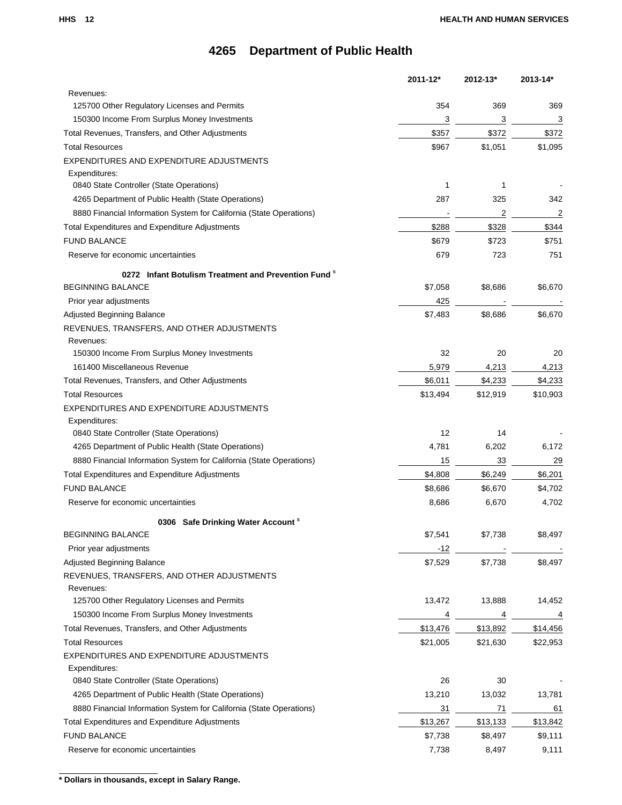|                                                                     | $2011 - 12*$ | $2012 - 13*$ | 2013-14* |
|---------------------------------------------------------------------|--------------|--------------|----------|
| Revenues:                                                           |              |              |          |
| 125700 Other Regulatory Licenses and Permits                        | 354          | 369          | 369      |
| 150300 Income From Surplus Money Investments                        | 3            | 3            | 3        |
| Total Revenues, Transfers, and Other Adjustments                    | \$357        | \$372        | \$372    |
| <b>Total Resources</b>                                              | \$967        | \$1,051      | \$1,095  |
| EXPENDITURES AND EXPENDITURE ADJUSTMENTS                            |              |              |          |
| Expenditures:                                                       |              |              |          |
| 0840 State Controller (State Operations)                            | 1            | 1            |          |
| 4265 Department of Public Health (State Operations)                 | 287          | 325          | 342      |
| 8880 Financial Information System for California (State Operations) |              | 2            | 2        |
| Total Expenditures and Expenditure Adjustments                      | \$288        | \$328        | \$344    |
| <b>FUND BALANCE</b>                                                 | \$679        | \$723        | \$751    |
| Reserve for economic uncertainties                                  | 679          | 723          | 751      |
| 0272 Infant Botulism Treatment and Prevention Fund $^{\circ}$       |              |              |          |
| <b>BEGINNING BALANCE</b>                                            | \$7,058      | \$8,686      | \$6,670  |
| Prior year adjustments                                              | 425          |              |          |
| Adjusted Beginning Balance                                          | \$7,483      | \$8,686      | \$6,670  |
| REVENUES, TRANSFERS, AND OTHER ADJUSTMENTS                          |              |              |          |
| Revenues:                                                           |              |              |          |
| 150300 Income From Surplus Money Investments                        | 32           | 20           | 20       |
| 161400 Miscellaneous Revenue                                        | 5,979        | 4,213        | 4,213    |
| Total Revenues, Transfers, and Other Adjustments                    | \$6,011      | \$4,233      | \$4,233  |
| <b>Total Resources</b>                                              | \$13,494     | \$12,919     | \$10,903 |
| EXPENDITURES AND EXPENDITURE ADJUSTMENTS                            |              |              |          |
| Expenditures:                                                       |              |              |          |
| 0840 State Controller (State Operations)                            | 12           | 14           |          |
| 4265 Department of Public Health (State Operations)                 | 4,781        | 6,202        | 6,172    |
| 8880 Financial Information System for California (State Operations) | 15           | 33           | 29       |
| Total Expenditures and Expenditure Adjustments                      | \$4,808      | \$6,249      | \$6,201  |
| <b>FUND BALANCE</b>                                                 | \$8,686      | \$6,670      | \$4,702  |
| Reserve for economic uncertainties                                  | 8,686        | 6,670        | 4,702    |
| 0306 Safe Drinking Water Account <sup>s</sup>                       |              |              |          |
| <b>BEGINNING BALANCE</b>                                            | \$7,541      | \$7,738      | \$8,497  |
| Prior year adjustments                                              | -12          |              |          |
| Adjusted Beginning Balance                                          | \$7,529      | \$7,738      | \$8,497  |
| REVENUES, TRANSFERS, AND OTHER ADJUSTMENTS                          |              |              |          |
| Revenues:                                                           |              |              |          |
| 125700 Other Regulatory Licenses and Permits                        | 13,472       | 13,888       | 14,452   |
| 150300 Income From Surplus Money Investments                        | 4            | 4            | 4        |
| Total Revenues, Transfers, and Other Adjustments                    | \$13,476     | \$13,892     | \$14,456 |
| <b>Total Resources</b>                                              | \$21,005     | \$21,630     | \$22,953 |
| EXPENDITURES AND EXPENDITURE ADJUSTMENTS                            |              |              |          |
| Expenditures:                                                       |              |              |          |
| 0840 State Controller (State Operations)                            | 26           | 30           |          |
| 4265 Department of Public Health (State Operations)                 | 13,210       | 13,032       | 13,781   |
| 8880 Financial Information System for California (State Operations) | 31           | 71           | 61       |
| Total Expenditures and Expenditure Adjustments                      | \$13,267     | \$13,133     | \$13,842 |
| <b>FUND BALANCE</b>                                                 | \$7,738      | \$8,497      | \$9,111  |
| Reserve for economic uncertainties                                  | 7,738        | 8,497        | 9,111    |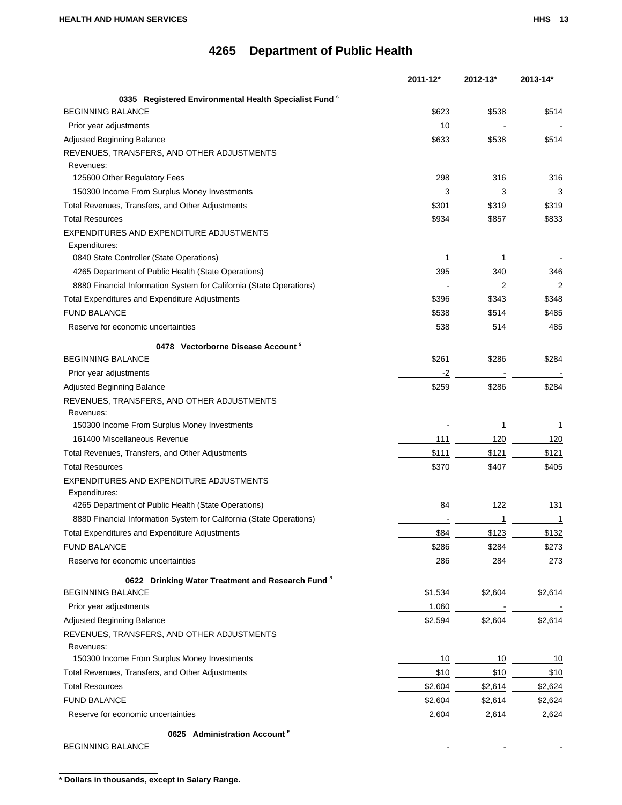|                                                                     | 2011-12* | 2012-13* | 2013-14* |
|---------------------------------------------------------------------|----------|----------|----------|
| 0335 Registered Environmental Health Specialist Fund <sup>8</sup>   |          |          |          |
| <b>BEGINNING BALANCE</b>                                            | \$623    | \$538    | \$514    |
| Prior year adjustments                                              | 10       |          |          |
| <b>Adjusted Beginning Balance</b>                                   | \$633    | \$538    | \$514    |
| REVENUES, TRANSFERS, AND OTHER ADJUSTMENTS<br>Revenues:             |          |          |          |
| 125600 Other Regulatory Fees                                        | 298      | 316      | 316      |
| 150300 Income From Surplus Money Investments                        | 3        | 3        | 3        |
| Total Revenues, Transfers, and Other Adjustments                    | \$301    | \$319    | \$319    |
| <b>Total Resources</b>                                              | \$934    | \$857    | \$833    |
| EXPENDITURES AND EXPENDITURE ADJUSTMENTS                            |          |          |          |
| Expenditures:                                                       |          |          |          |
| 0840 State Controller (State Operations)                            | 1        | 1        |          |
| 4265 Department of Public Health (State Operations)                 | 395      | 340      | 346      |
| 8880 Financial Information System for California (State Operations) |          | 2        | 2        |
| Total Expenditures and Expenditure Adjustments                      | \$396    | \$343    | \$348    |
| <b>FUND BALANCE</b>                                                 | \$538    | \$514    | \$485    |
| Reserve for economic uncertainties                                  | 538      | 514      | 485      |
| 0478 Vectorborne Disease Account <sup>8</sup>                       |          |          |          |
| <b>BEGINNING BALANCE</b>                                            | \$261    | \$286    | \$284    |
| Prior year adjustments                                              | -2       |          |          |
| Adjusted Beginning Balance                                          | \$259    | \$286    | \$284    |
| REVENUES, TRANSFERS, AND OTHER ADJUSTMENTS                          |          |          |          |
| Revenues:                                                           |          |          |          |
| 150300 Income From Surplus Money Investments                        |          | 1        | 1        |
| 161400 Miscellaneous Revenue                                        | 111      | 120      | 120      |
| Total Revenues, Transfers, and Other Adjustments                    | \$111    | \$121    | \$121    |
| <b>Total Resources</b>                                              | \$370    | \$407    | \$405    |
| EXPENDITURES AND EXPENDITURE ADJUSTMENTS                            |          |          |          |
| Expenditures:                                                       |          |          |          |
| 4265 Department of Public Health (State Operations)                 | 84       | 122      | 131      |
| 8880 Financial Information System for California (State Operations) |          | 1        | 1        |
| Total Expenditures and Expenditure Adjustments                      | \$84     | \$123    | \$132    |
| <b>FUND BALANCE</b>                                                 | \$286    | \$284    | \$273    |
| Reserve for economic uncertainties                                  | 286      | 284      | 273      |
| 0622 Drinking Water Treatment and Research Fund <sup>8</sup>        |          |          |          |
| <b>BEGINNING BALANCE</b>                                            | \$1,534  | \$2,604  | \$2,614  |
| Prior year adjustments                                              | 1,060    |          |          |
| Adjusted Beginning Balance                                          | \$2,594  | \$2,604  | \$2,614  |
| REVENUES, TRANSFERS, AND OTHER ADJUSTMENTS                          |          |          |          |
| Revenues:                                                           |          |          |          |
| 150300 Income From Surplus Money Investments                        | 10       | 10       | 10       |
| Total Revenues, Transfers, and Other Adjustments                    | \$10     | \$10     | \$10     |
| <b>Total Resources</b>                                              | \$2,604  | \$2,614  | \$2,624  |
| <b>FUND BALANCE</b>                                                 | \$2,604  | \$2,614  | \$2,624  |
| Reserve for economic uncertainties                                  | 2,604    | 2,614    | 2,624    |
| 0625 Administration Account <sup>F</sup>                            |          |          |          |
| <b>BEGINNING BALANCE</b>                                            |          |          |          |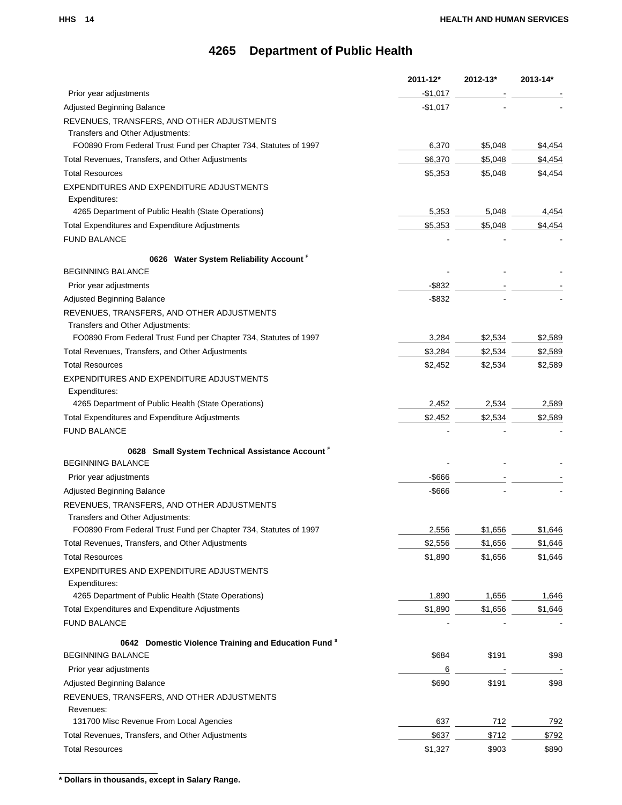|                                                                  | 2011-12*  | 2012-13* | 2013-14* |
|------------------------------------------------------------------|-----------|----------|----------|
| Prior year adjustments                                           | -\$1,017  |          |          |
| Adjusted Beginning Balance                                       | $-$1,017$ |          |          |
| REVENUES, TRANSFERS, AND OTHER ADJUSTMENTS                       |           |          |          |
| Transfers and Other Adjustments:                                 |           |          |          |
| FO0890 From Federal Trust Fund per Chapter 734, Statutes of 1997 | 6,370     | \$5,048  | \$4,454  |
| Total Revenues, Transfers, and Other Adjustments                 | \$6,370   | \$5,048  | \$4,454  |
| <b>Total Resources</b>                                           | \$5,353   | \$5,048  | \$4,454  |
| EXPENDITURES AND EXPENDITURE ADJUSTMENTS                         |           |          |          |
| Expenditures:                                                    |           |          |          |
| 4265 Department of Public Health (State Operations)              | 5,353     | 5,048    | 4,454    |
| Total Expenditures and Expenditure Adjustments                   | \$5,353   | \$5,048  | \$4,454  |
| <b>FUND BALANCE</b>                                              |           |          |          |
| 0626 Water System Reliability Account                            |           |          |          |
| <b>BEGINNING BALANCE</b>                                         |           |          |          |
| Prior year adjustments                                           | $-$ \$832 |          |          |
| Adjusted Beginning Balance                                       | $-$ \$832 |          |          |
| REVENUES, TRANSFERS, AND OTHER ADJUSTMENTS                       |           |          |          |
| Transfers and Other Adjustments:                                 |           |          |          |
| FO0890 From Federal Trust Fund per Chapter 734, Statutes of 1997 | 3,284     | \$2,534  | \$2,589  |
| Total Revenues, Transfers, and Other Adjustments                 | \$3,284   | \$2,534  | \$2,589  |
| <b>Total Resources</b>                                           | \$2,452   | \$2,534  | \$2,589  |
| EXPENDITURES AND EXPENDITURE ADJUSTMENTS                         |           |          |          |
| Expenditures:                                                    |           |          |          |
| 4265 Department of Public Health (State Operations)              | 2,452     | 2,534    | 2,589    |
| <b>Total Expenditures and Expenditure Adjustments</b>            | \$2,452   | \$2,534  | \$2,589  |
| <b>FUND BALANCE</b>                                              |           |          |          |
| 0628 Small System Technical Assistance Account F                 |           |          |          |
| <b>BEGINNING BALANCE</b>                                         |           |          |          |
| Prior year adjustments                                           | $-$ \$666 |          |          |
| Adjusted Beginning Balance                                       | -\$666    |          |          |
| REVENUES, TRANSFERS, AND OTHER ADJUSTMENTS                       |           |          |          |
| Transfers and Other Adjustments:                                 |           |          |          |
| FO0890 From Federal Trust Fund per Chapter 734, Statutes of 1997 | 2.556     | \$1.656  | \$1,646  |
| Total Revenues, Transfers, and Other Adjustments                 | \$2,556   | \$1,656  | \$1,646  |
| <b>Total Resources</b>                                           | \$1,890   | \$1,656  | \$1,646  |
| EXPENDITURES AND EXPENDITURE ADJUSTMENTS                         |           |          |          |
| Expenditures:                                                    |           |          |          |
| 4265 Department of Public Health (State Operations)              | 1,890     | 1,656    | 1,646    |
| Total Expenditures and Expenditure Adjustments                   | \$1,890   | \$1,656  | \$1,646  |
| <b>FUND BALANCE</b>                                              |           |          |          |
| 0642 Domestic Violence Training and Education Fund <sup>8</sup>  |           |          |          |
| <b>BEGINNING BALANCE</b>                                         | \$684     | \$191    | \$98     |
| Prior year adjustments                                           | 6         |          |          |
| Adjusted Beginning Balance                                       | \$690     | \$191    | \$98     |
| REVENUES, TRANSFERS, AND OTHER ADJUSTMENTS                       |           |          |          |
| Revenues:                                                        |           |          |          |
| 131700 Misc Revenue From Local Agencies                          | 637       | 712      | 792      |
| Total Revenues, Transfers, and Other Adjustments                 | \$637     | \$712    | \$792    |
| <b>Total Resources</b>                                           | \$1,327   | \$903    | \$890    |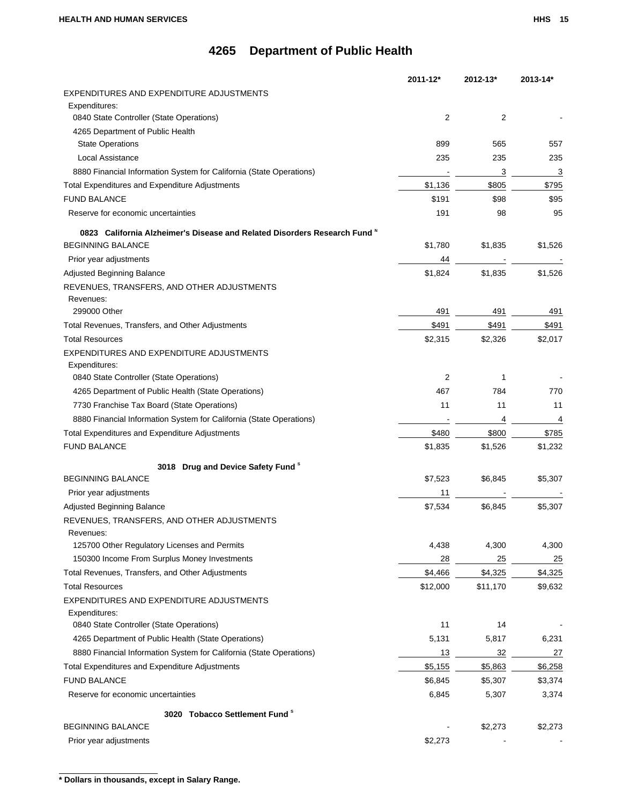|                                                                           | 2011-12* | 2012-13* | 2013-14*       |
|---------------------------------------------------------------------------|----------|----------|----------------|
| EXPENDITURES AND EXPENDITURE ADJUSTMENTS                                  |          |          |                |
| Expenditures:                                                             |          |          |                |
| 0840 State Controller (State Operations)                                  | 2        | 2        |                |
| 4265 Department of Public Health                                          |          |          |                |
| <b>State Operations</b>                                                   | 899      | 565      | 557            |
| <b>Local Assistance</b>                                                   | 235      | 235      | 235            |
| 8880 Financial Information System for California (State Operations)       |          | 3        | 3              |
| Total Expenditures and Expenditure Adjustments                            | \$1,136  | \$805    | \$795          |
| <b>FUND BALANCE</b>                                                       | \$191    | \$98     | \$95           |
| Reserve for economic uncertainties                                        | 191      | 98       | 95             |
| 0823 California Alzheimer's Disease and Related Disorders Research Fund N |          |          |                |
| <b>BEGINNING BALANCE</b>                                                  | \$1,780  | \$1,835  | \$1,526        |
| Prior year adjustments                                                    | 44       |          |                |
| Adjusted Beginning Balance                                                | \$1,824  | \$1,835  | \$1,526        |
| REVENUES, TRANSFERS, AND OTHER ADJUSTMENTS                                |          |          |                |
| Revenues:                                                                 |          |          |                |
| 299000 Other                                                              | 491      | 491      | 491            |
| Total Revenues, Transfers, and Other Adjustments                          | \$491    | \$491    | \$491          |
| <b>Total Resources</b>                                                    | \$2,315  | \$2,326  | \$2,017        |
| EXPENDITURES AND EXPENDITURE ADJUSTMENTS                                  |          |          |                |
| Expenditures:                                                             |          |          |                |
| 0840 State Controller (State Operations)                                  | 2        | 1        |                |
| 4265 Department of Public Health (State Operations)                       | 467      | 784      | 770            |
| 7730 Franchise Tax Board (State Operations)                               | 11       | 11       | 11             |
| 8880 Financial Information System for California (State Operations)       |          | 4        | 4              |
| Total Expenditures and Expenditure Adjustments                            | \$480    | \$800    | \$785          |
| <b>FUND BALANCE</b>                                                       | \$1,835  | \$1,526  | \$1,232        |
| 3018 Drug and Device Safety Fund <sup>\$</sup>                            |          |          |                |
| <b>BEGINNING BALANCE</b>                                                  | \$7,523  | \$6,845  | \$5,307        |
| Prior year adjustments                                                    | 11       |          |                |
| Adjusted Beginning Balance                                                | \$7,534  | \$6,845  | \$5,307        |
| REVENUES, TRANSFERS, AND OTHER ADJUSTMENTS                                |          |          |                |
| Revenues:                                                                 |          |          |                |
| 125700 Other Regulatory Licenses and Permits                              | 4,438    | 4,300    | 4,300          |
| 150300 Income From Surplus Money Investments                              | 28       | 25       | $\frac{25}{2}$ |
| Total Revenues, Transfers, and Other Adjustments                          | \$4,466  | \$4,325  | \$4,325        |
| <b>Total Resources</b>                                                    | \$12,000 | \$11,170 | \$9,632        |
| EXPENDITURES AND EXPENDITURE ADJUSTMENTS                                  |          |          |                |
| Expenditures:                                                             |          |          |                |
| 0840 State Controller (State Operations)                                  | 11       | 14       |                |
| 4265 Department of Public Health (State Operations)                       | 5,131    | 5,817    | 6,231          |
| 8880 Financial Information System for California (State Operations)       | 13       | 32       | 27             |
| Total Expenditures and Expenditure Adjustments                            | \$5,155  | \$5,863  | \$6,258        |
| <b>FUND BALANCE</b>                                                       | \$6,845  | \$5,307  | \$3,374        |
| Reserve for economic uncertainties                                        | 6,845    | 5,307    | 3,374          |
|                                                                           |          |          |                |
| 3020 Tobacco Settlement Fund <sup>\$</sup><br><b>BEGINNING BALANCE</b>    |          | \$2,273  | \$2,273        |
| Prior year adjustments                                                    | \$2,273  |          |                |
|                                                                           |          |          |                |

**<sup>\*</sup> Dollars in thousands, except in Salary Range.**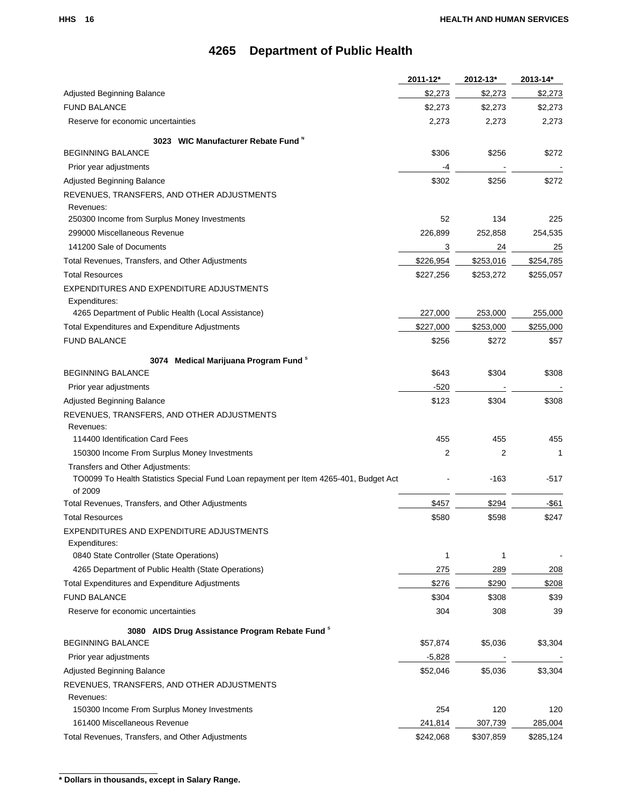|                                                                                       | 2011-12*  | 2012-13*  | 2013-14*  |
|---------------------------------------------------------------------------------------|-----------|-----------|-----------|
| <b>Adjusted Beginning Balance</b>                                                     | \$2,273   | \$2,273   | \$2,273   |
| <b>FUND BALANCE</b>                                                                   | \$2,273   | \$2,273   | \$2,273   |
| Reserve for economic uncertainties                                                    | 2,273     | 2,273     | 2,273     |
| 3023 WIC Manufacturer Rebate Fund N                                                   |           |           |           |
| <b>BEGINNING BALANCE</b>                                                              | \$306     | \$256     | \$272     |
| Prior year adjustments                                                                | -4        |           |           |
| Adjusted Beginning Balance                                                            | \$302     | \$256     | \$272     |
| REVENUES, TRANSFERS, AND OTHER ADJUSTMENTS                                            |           |           |           |
| Revenues:                                                                             |           |           |           |
| 250300 Income from Surplus Money Investments                                          | 52        | 134       | 225       |
| 299000 Miscellaneous Revenue                                                          | 226,899   | 252,858   | 254,535   |
| 141200 Sale of Documents                                                              | 3         | 24        | 25        |
| Total Revenues, Transfers, and Other Adjustments                                      | \$226,954 | \$253,016 | \$254,785 |
| <b>Total Resources</b>                                                                | \$227,256 | \$253,272 | \$255,057 |
| EXPENDITURES AND EXPENDITURE ADJUSTMENTS                                              |           |           |           |
| Expenditures:                                                                         |           |           |           |
| 4265 Department of Public Health (Local Assistance)                                   | 227,000   | 253,000   | 255,000   |
| Total Expenditures and Expenditure Adjustments                                        | \$227,000 | \$253,000 | \$255,000 |
| <b>FUND BALANCE</b>                                                                   | \$256     | \$272     | \$57      |
| 3074 Medical Marijuana Program Fund <sup>8</sup>                                      |           |           |           |
| <b>BEGINNING BALANCE</b>                                                              | \$643     | \$304     | \$308     |
| Prior year adjustments                                                                | -520      |           |           |
| Adjusted Beginning Balance                                                            | \$123     | \$304     | \$308     |
| REVENUES, TRANSFERS, AND OTHER ADJUSTMENTS                                            |           |           |           |
| Revenues:                                                                             |           |           |           |
| 114400 Identification Card Fees                                                       | 455       | 455       | 455       |
| 150300 Income From Surplus Money Investments                                          | 2         | 2         | 1         |
| Transfers and Other Adjustments:                                                      |           |           |           |
| TO0099 To Health Statistics Special Fund Loan repayment per Item 4265-401, Budget Act |           | -163      | -517      |
| of 2009                                                                               |           |           |           |
| Total Revenues, Transfers, and Other Adjustments                                      | \$457     | \$294     | $-$ \$61  |
| <b>Total Resources</b>                                                                | \$580     | \$598     | \$247     |
| EXPENDITURES AND EXPENDITURE ADJUSTMENTS                                              |           |           |           |
| Expenditures:<br>0840 State Controller (State Operations)                             | 1         | 1         |           |
| 4265 Department of Public Health (State Operations)                                   | 275       | 289       | 208       |
| Total Expenditures and Expenditure Adjustments                                        | \$276     | \$290     | \$208     |
| <b>FUND BALANCE</b>                                                                   | \$304     | \$308     | \$39      |
| Reserve for economic uncertainties                                                    | 304       | 308       | 39        |
|                                                                                       |           |           |           |
| 3080 AIDS Drug Assistance Program Rebate Fund <sup>8</sup>                            |           |           |           |
| <b>BEGINNING BALANCE</b>                                                              | \$57,874  | \$5,036   | \$3,304   |
| Prior year adjustments                                                                | $-5,828$  |           |           |
| Adjusted Beginning Balance                                                            | \$52,046  | \$5,036   | \$3,304   |
| REVENUES, TRANSFERS, AND OTHER ADJUSTMENTS                                            |           |           |           |
| Revenues:                                                                             |           |           |           |
| 150300 Income From Surplus Money Investments                                          | 254       | 120       | 120       |
| 161400 Miscellaneous Revenue                                                          | 241,814   | 307,739   | 285,004   |
| Total Revenues, Transfers, and Other Adjustments                                      | \$242,068 | \$307,859 | \$285,124 |

**<sup>\*</sup> Dollars in thousands, except in Salary Range.**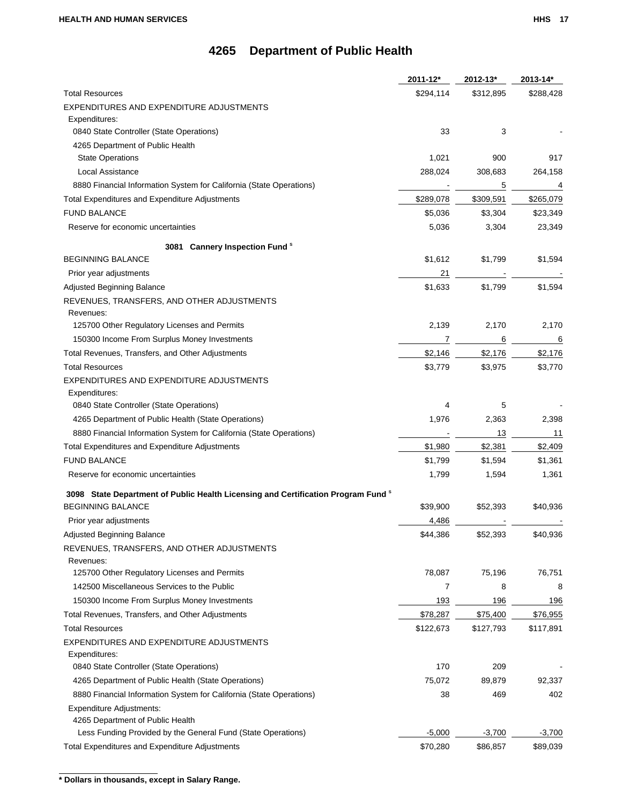|                                                                                              | 2011-12*  | 2012-13*  | 2013-14*  |
|----------------------------------------------------------------------------------------------|-----------|-----------|-----------|
| <b>Total Resources</b>                                                                       | \$294,114 | \$312,895 | \$288,428 |
| EXPENDITURES AND EXPENDITURE ADJUSTMENTS                                                     |           |           |           |
| Expenditures:                                                                                |           |           |           |
| 0840 State Controller (State Operations)                                                     | 33        | 3         |           |
| 4265 Department of Public Health                                                             |           |           |           |
| <b>State Operations</b>                                                                      | 1,021     | 900       | 917       |
| Local Assistance                                                                             | 288,024   | 308,683   | 264,158   |
| 8880 Financial Information System for California (State Operations)                          |           | 5         | 4         |
| Total Expenditures and Expenditure Adjustments                                               | \$289,078 | \$309,591 | \$265,079 |
| <b>FUND BALANCE</b>                                                                          | \$5,036   | \$3,304   | \$23,349  |
| Reserve for economic uncertainties                                                           | 5,036     | 3,304     | 23,349    |
| 3081 Cannery Inspection Fund <sup>8</sup>                                                    |           |           |           |
| <b>BEGINNING BALANCE</b>                                                                     | \$1,612   | \$1,799   | \$1,594   |
| Prior year adjustments                                                                       | 21        |           |           |
| Adjusted Beginning Balance                                                                   | \$1,633   | \$1,799   | \$1,594   |
| REVENUES, TRANSFERS, AND OTHER ADJUSTMENTS                                                   |           |           |           |
| Revenues:                                                                                    |           |           |           |
| 125700 Other Regulatory Licenses and Permits                                                 | 2,139     | 2,170     | 2,170     |
| 150300 Income From Surplus Money Investments                                                 | 7         | 6         | 6         |
| Total Revenues, Transfers, and Other Adjustments                                             | \$2,146   | \$2,176   | \$2,176   |
| <b>Total Resources</b>                                                                       | \$3,779   | \$3,975   | \$3,770   |
| EXPENDITURES AND EXPENDITURE ADJUSTMENTS                                                     |           |           |           |
| Expenditures:                                                                                |           |           |           |
| 0840 State Controller (State Operations)                                                     | 4         | 5         |           |
| 4265 Department of Public Health (State Operations)                                          | 1,976     | 2,363     | 2,398     |
| 8880 Financial Information System for California (State Operations)                          |           | 13        | 11        |
| <b>Total Expenditures and Expenditure Adjustments</b>                                        | \$1,980   | \$2,381   | \$2,409   |
| <b>FUND BALANCE</b>                                                                          | \$1,799   | \$1,594   | \$1,361   |
| Reserve for economic uncertainties                                                           | 1,799     | 1,594     | 1,361     |
| 3098 State Department of Public Health Licensing and Certification Program Fund <sup>8</sup> |           |           |           |
| <b>BEGINNING BALANCE</b>                                                                     | \$39,900  | \$52,393  | \$40,936  |
| Prior year adjustments                                                                       | 4,486     |           |           |
| Adjusted Beginning Balance                                                                   | \$44,386  | \$52,393  | \$40,936  |
| REVENUES, TRANSFERS, AND OTHER ADJUSTMENTS                                                   |           |           |           |
| Revenues:                                                                                    |           |           |           |
| 125700 Other Regulatory Licenses and Permits                                                 | 78,087    | 75,196    | 76,751    |
| 142500 Miscellaneous Services to the Public                                                  | 7         | 8         | 8         |
| 150300 Income From Surplus Money Investments                                                 | 193       | 196       | 196       |
| Total Revenues, Transfers, and Other Adjustments                                             | \$78,287  | \$75,400  | \$76,955  |
| <b>Total Resources</b>                                                                       | \$122,673 | \$127,793 | \$117,891 |
| EXPENDITURES AND EXPENDITURE ADJUSTMENTS                                                     |           |           |           |
| Expenditures:                                                                                |           |           |           |
| 0840 State Controller (State Operations)                                                     | 170       | 209       |           |
| 4265 Department of Public Health (State Operations)                                          | 75,072    | 89,879    | 92,337    |
| 8880 Financial Information System for California (State Operations)                          | 38        | 469       | 402       |
| Expenditure Adjustments:                                                                     |           |           |           |
| 4265 Department of Public Health                                                             |           |           |           |
| Less Funding Provided by the General Fund (State Operations)                                 | $-5,000$  | $-3,700$  | $-3,700$  |
| Total Expenditures and Expenditure Adjustments                                               | \$70,280  | \$86,857  | \$89,039  |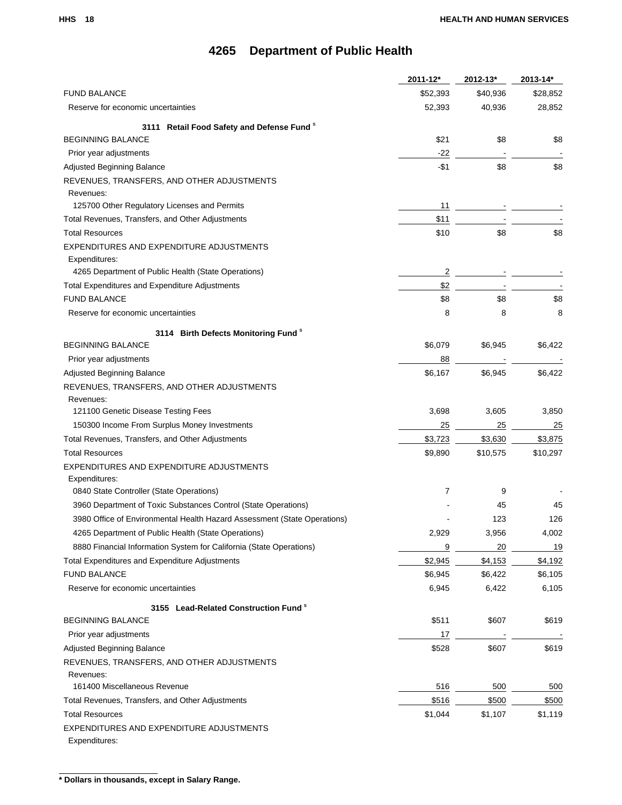|                                                                          | 2011-12* | 2012-13* | 2013-14* |
|--------------------------------------------------------------------------|----------|----------|----------|
| <b>FUND BALANCE</b>                                                      | \$52,393 | \$40,936 | \$28,852 |
| Reserve for economic uncertainties                                       | 52,393   | 40,936   | 28,852   |
| 3111 Retail Food Safety and Defense Fund <sup>8</sup>                    |          |          |          |
| <b>BEGINNING BALANCE</b>                                                 | \$21     | \$8      | \$8      |
| Prior year adjustments                                                   | -22      |          |          |
| Adjusted Beginning Balance                                               | $-$1$    | \$8      | \$8      |
| REVENUES, TRANSFERS, AND OTHER ADJUSTMENTS<br>Revenues:                  |          |          |          |
| 125700 Other Regulatory Licenses and Permits                             | 11       |          |          |
| Total Revenues, Transfers, and Other Adjustments                         | \$11     |          |          |
| <b>Total Resources</b>                                                   | \$10     | \$8      | \$8      |
| EXPENDITURES AND EXPENDITURE ADJUSTMENTS<br>Expenditures:                |          |          |          |
| 4265 Department of Public Health (State Operations)                      | 2        |          |          |
| Total Expenditures and Expenditure Adjustments                           | \$2      |          |          |
| <b>FUND BALANCE</b>                                                      | \$8      | \$8      | \$8      |
| Reserve for economic uncertainties                                       | 8        | 8        | 8        |
| 3114 Birth Defects Monitoring Fund <sup>8</sup>                          |          |          |          |
| <b>BEGINNING BALANCE</b>                                                 | \$6,079  | \$6,945  | \$6,422  |
| Prior year adjustments                                                   | 88       |          |          |
| Adjusted Beginning Balance                                               | \$6,167  | \$6,945  | \$6,422  |
| REVENUES, TRANSFERS, AND OTHER ADJUSTMENTS<br>Revenues:                  |          |          |          |
| 121100 Genetic Disease Testing Fees                                      | 3,698    | 3,605    | 3,850    |
| 150300 Income From Surplus Money Investments                             | 25       | 25       | 25       |
| Total Revenues, Transfers, and Other Adjustments                         | \$3,723  | \$3,630  | \$3,875  |
| <b>Total Resources</b>                                                   | \$9,890  | \$10,575 | \$10,297 |
| EXPENDITURES AND EXPENDITURE ADJUSTMENTS<br>Expenditures:                |          |          |          |
| 0840 State Controller (State Operations)                                 | 7        | 9        |          |
| 3960 Department of Toxic Substances Control (State Operations)           |          | 45       | 45       |
| 3980 Office of Environmental Health Hazard Assessment (State Operations) |          | 123      | 126      |
| 4265 Department of Public Health (State Operations)                      | 2,929    | 3,956    | 4,002    |
| 8880 Financial Information System for California (State Operations)      | 9        | 20       | 19       |
| Total Expenditures and Expenditure Adjustments                           | \$2,945  | \$4,153  | \$4,192  |
| <b>FUND BALANCE</b>                                                      | \$6,945  | \$6,422  | \$6,105  |
| Reserve for economic uncertainties                                       | 6,945    | 6,422    | 6,105    |
| 3155 Lead-Related Construction Fund <sup>s</sup>                         |          |          |          |
| <b>BEGINNING BALANCE</b>                                                 | \$511    | \$607    | \$619    |
| Prior year adjustments                                                   | 17       |          |          |
| Adjusted Beginning Balance                                               | \$528    | \$607    | \$619    |
| REVENUES, TRANSFERS, AND OTHER ADJUSTMENTS<br>Revenues:                  |          |          |          |
| 161400 Miscellaneous Revenue                                             | 516      | 500      | 500      |
| Total Revenues, Transfers, and Other Adjustments                         | \$516    | \$500    | \$500    |
| <b>Total Resources</b>                                                   | \$1,044  | \$1,107  | \$1,119  |
| EXPENDITURES AND EXPENDITURE ADJUSTMENTS<br>Expenditures:                |          |          |          |

**<sup>\*</sup> Dollars in thousands, except in Salary Range.**